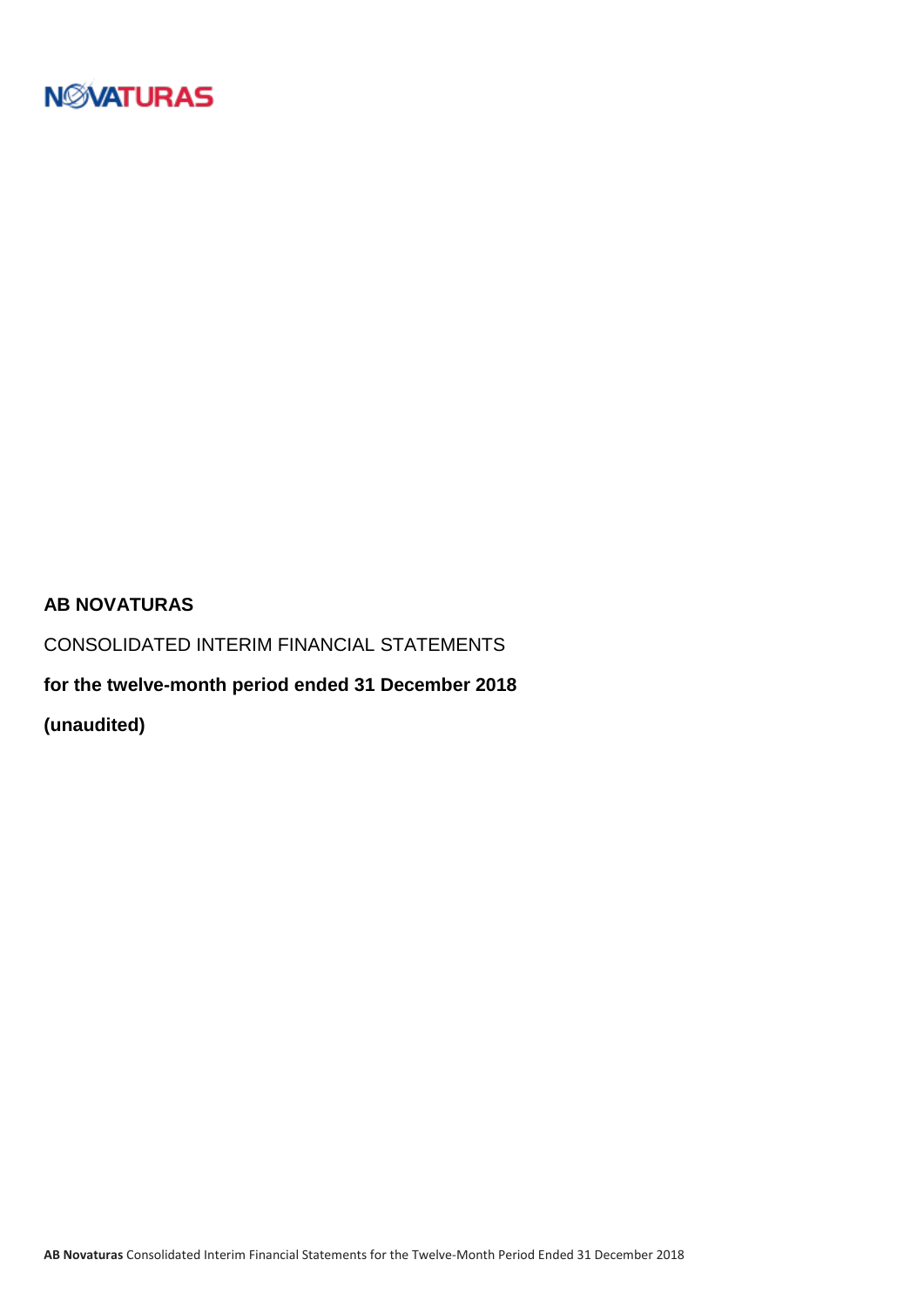

### **AB NOVATURAS**

CONSOLIDATED INTERIM FINANCIAL STATEMENTS

**for the twelve-month period ended 31 December 2018**

**(unaudited)**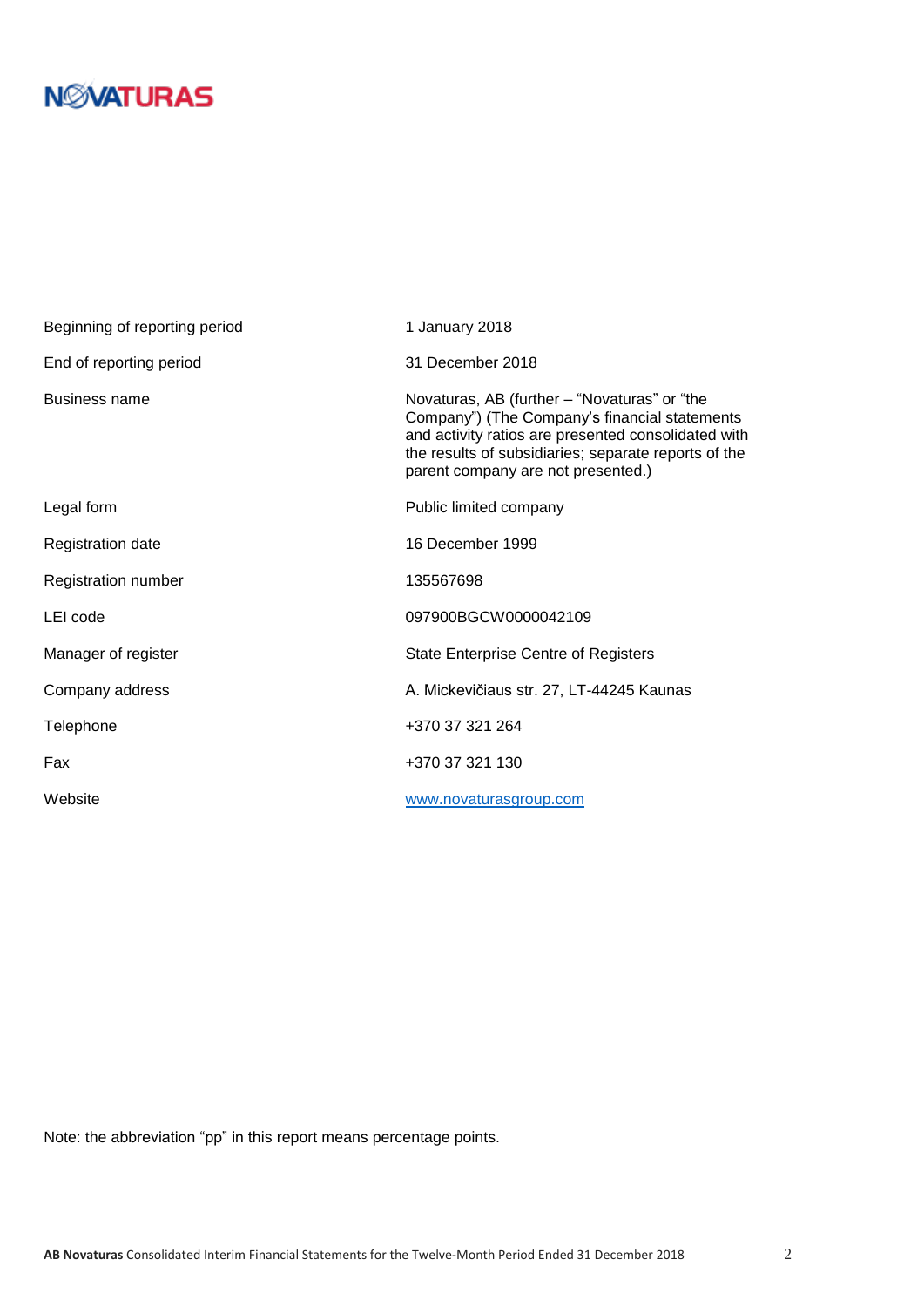| Beginning of reporting period | 1 January 2018                                                                                                                                                                                                                                     |
|-------------------------------|----------------------------------------------------------------------------------------------------------------------------------------------------------------------------------------------------------------------------------------------------|
| End of reporting period       | 31 December 2018                                                                                                                                                                                                                                   |
| Business name                 | Novaturas, AB (further – "Novaturas" or "the<br>Company") (The Company's financial statements<br>and activity ratios are presented consolidated with<br>the results of subsidiaries; separate reports of the<br>parent company are not presented.) |
| Legal form                    | Public limited company                                                                                                                                                                                                                             |
| <b>Registration date</b>      | 16 December 1999                                                                                                                                                                                                                                   |
| Registration number           | 135567698                                                                                                                                                                                                                                          |
| LEI code                      | 097900BGCW0000042109                                                                                                                                                                                                                               |
| Manager of register           | <b>State Enterprise Centre of Registers</b>                                                                                                                                                                                                        |
| Company address               | A. Mickevičiaus str. 27, LT-44245 Kaunas                                                                                                                                                                                                           |
| Telephone                     | +370 37 321 264                                                                                                                                                                                                                                    |
| Fax                           | +370 37 321 130                                                                                                                                                                                                                                    |
| Website                       | www.novaturasgroup.com                                                                                                                                                                                                                             |

Note: the abbreviation "pp" in this report means percentage points.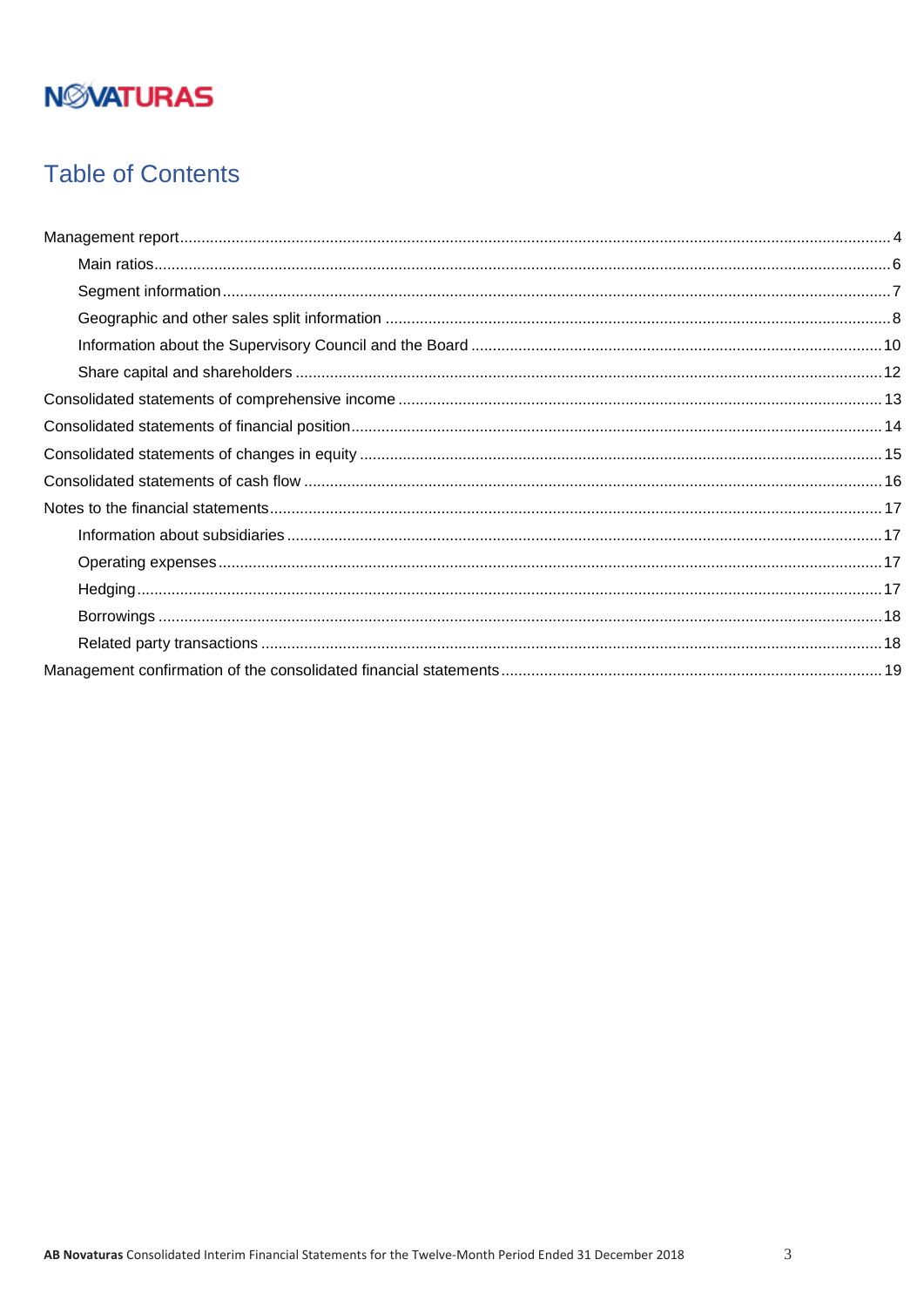## **Table of Contents**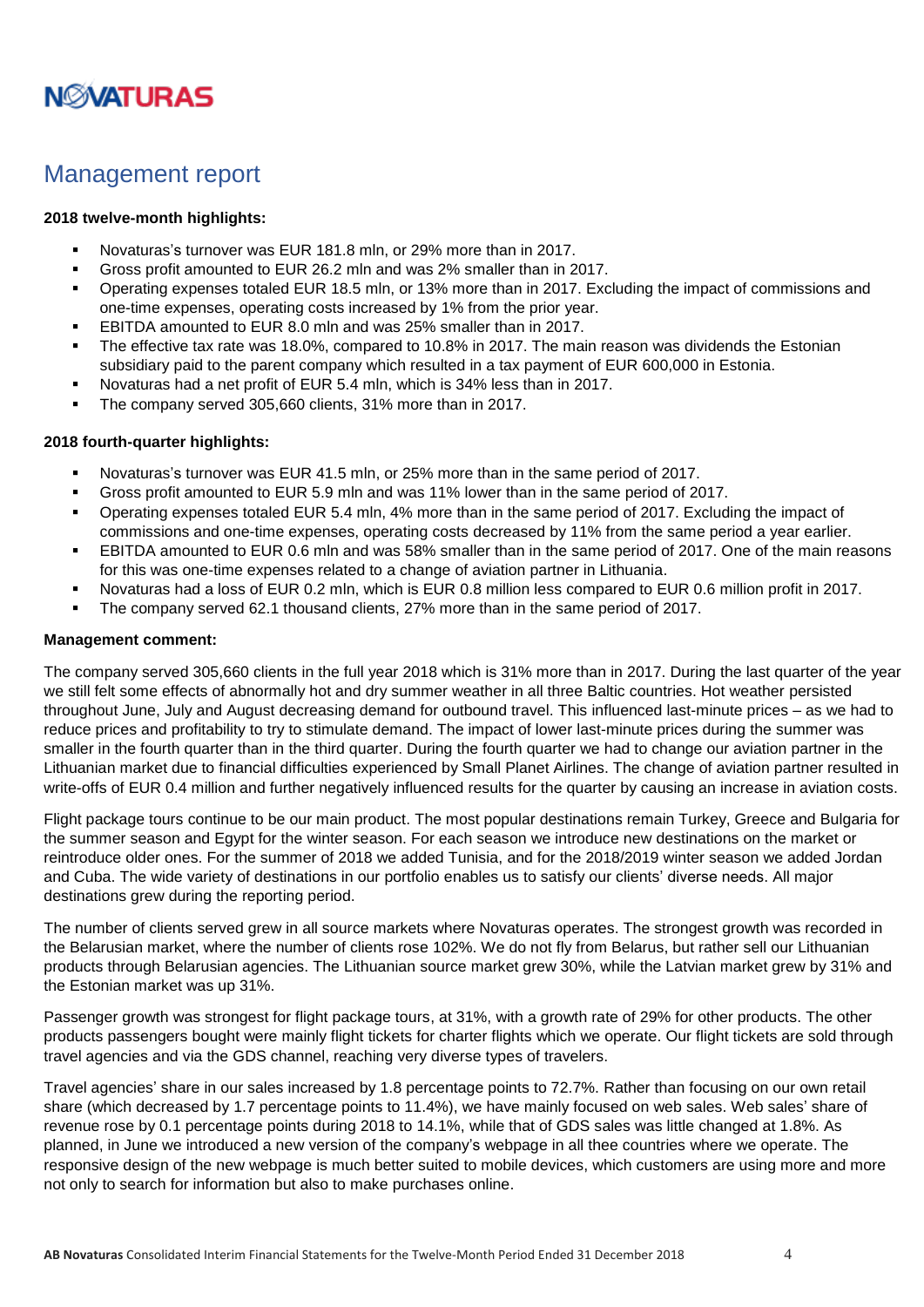

### <span id="page-3-0"></span>Management report

#### **2018 twelve-month highlights:**

- Novaturas's turnover was EUR 181.8 mln, or 29% more than in 2017.
- Gross profit amounted to EUR 26.2 mln and was 2% smaller than in 2017.
- Operating expenses totaled EUR 18.5 mln, or 13% more than in 2017. Excluding the impact of commissions and one-time expenses, operating costs increased by 1% from the prior year.
- EBITDA amounted to EUR 8.0 mln and was 25% smaller than in 2017.
- The effective tax rate was 18.0%, compared to 10.8% in 2017. The main reason was dividends the Estonian subsidiary paid to the parent company which resulted in a tax payment of EUR 600,000 in Estonia.
- Novaturas had a net profit of EUR 5.4 mln, which is 34% less than in 2017.
- The company served 305,660 clients, 31% more than in 2017.

#### **2018 fourth-quarter highlights:**

- Novaturas's turnover was EUR 41.5 mln, or 25% more than in the same period of 2017.
- Gross profit amounted to EUR 5.9 mln and was 11% lower than in the same period of 2017.
- Operating expenses totaled EUR 5.4 mln, 4% more than in the same period of 2017. Excluding the impact of commissions and one-time expenses, operating costs decreased by 11% from the same period a year earlier.
- EBITDA amounted to EUR 0.6 mln and was 58% smaller than in the same period of 2017. One of the main reasons for this was one-time expenses related to a change of aviation partner in Lithuania.
- Novaturas had a loss of EUR 0.2 mln, which is EUR 0.8 million less compared to EUR 0.6 million profit in 2017.
- The company served 62.1 thousand clients, 27% more than in the same period of 2017.

#### **Management comment:**

The company served 305,660 clients in the full year 2018 which is 31% more than in 2017. During the last quarter of the year we still felt some effects of abnormally hot and dry summer weather in all three Baltic countries. Hot weather persisted throughout June, July and August decreasing demand for outbound travel. This influenced last-minute prices – as we had to reduce prices and profitability to try to stimulate demand. The impact of lower last-minute prices during the summer was smaller in the fourth quarter than in the third quarter. During the fourth quarter we had to change our aviation partner in the Lithuanian market due to financial difficulties experienced by Small Planet Airlines. The change of aviation partner resulted in write-offs of EUR 0.4 million and further negatively influenced results for the quarter by causing an increase in aviation costs.

Flight package tours continue to be our main product. The most popular destinations remain Turkey, Greece and Bulgaria for the summer season and Egypt for the winter season. For each season we introduce new destinations on the market or reintroduce older ones. For the summer of 2018 we added Tunisia, and for the 2018/2019 winter season we added Jordan and Cuba. The wide variety of destinations in our portfolio enables us to satisfy our clients' diverse needs. All major destinations grew during the reporting period.

The number of clients served grew in all source markets where Novaturas operates. The strongest growth was recorded in the Belarusian market, where the number of clients rose 102%. We do not fly from Belarus, but rather sell our Lithuanian products through Belarusian agencies. The Lithuanian source market grew 30%, while the Latvian market grew by 31% and the Estonian market was up 31%.

Passenger growth was strongest for flight package tours, at 31%, with a growth rate of 29% for other products. The other products passengers bought were mainly flight tickets for charter flights which we operate. Our flight tickets are sold through travel agencies and via the GDS channel, reaching very diverse types of travelers.

Travel agencies' share in our sales increased by 1.8 percentage points to 72.7%. Rather than focusing on our own retail share (which decreased by 1.7 percentage points to 11.4%), we have mainly focused on web sales. Web sales' share of revenue rose by 0.1 percentage points during 2018 to 14.1%, while that of GDS sales was little changed at 1.8%. As planned, in June we introduced a new version of the company's webpage in all thee countries where we operate. The responsive design of the new webpage is much better suited to mobile devices, which customers are using more and more not only to search for information but also to make purchases online.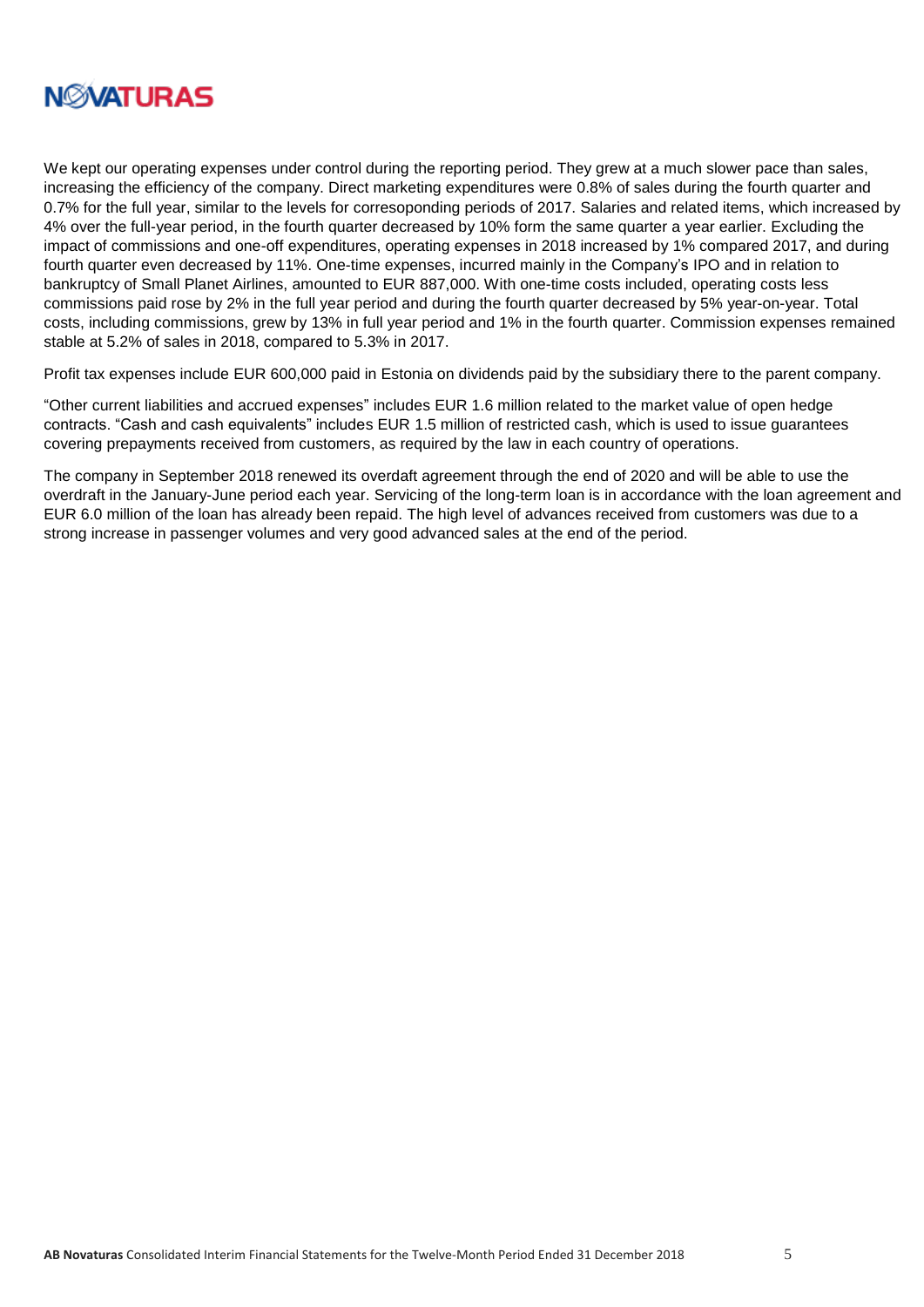

We kept our operating expenses under control during the reporting period. They grew at a much slower pace than sales, increasing the efficiency of the company. Direct marketing expenditures were 0.8% of sales during the fourth quarter and 0.7% for the full year, similar to the levels for corresoponding periods of 2017. Salaries and related items, which increased by 4% over the full-year period, in the fourth quarter decreased by 10% form the same quarter a year earlier. Excluding the impact of commissions and one-off expenditures, operating expenses in 2018 increased by 1% compared 2017, and during fourth quarter even decreased by 11%. One-time expenses, incurred mainly in the Company's IPO and in relation to bankruptcy of Small Planet Airlines, amounted to EUR 887,000. With one-time costs included, operating costs less commissions paid rose by 2% in the full year period and during the fourth quarter decreased by 5% year-on-year. Total costs, including commissions, grew by 13% in full year period and 1% in the fourth quarter. Commission expenses remained stable at 5.2% of sales in 2018, compared to 5.3% in 2017.

Profit tax expenses include EUR 600,000 paid in Estonia on dividends paid by the subsidiary there to the parent company.

"Other current liabilities and accrued expenses" includes EUR 1.6 million related to the market value of open hedge contracts. "Cash and cash equivalents" includes EUR 1.5 million of restricted cash, which is used to issue guarantees covering prepayments received from customers, as required by the law in each country of operations.

The company in September 2018 renewed its overdaft agreement through the end of 2020 and will be able to use the overdraft in the January-June period each year. Servicing of the long-term loan is in accordance with the loan agreement and EUR 6.0 million of the loan has already been repaid. The high level of advances received from customers was due to a strong increase in passenger volumes and very good advanced sales at the end of the period.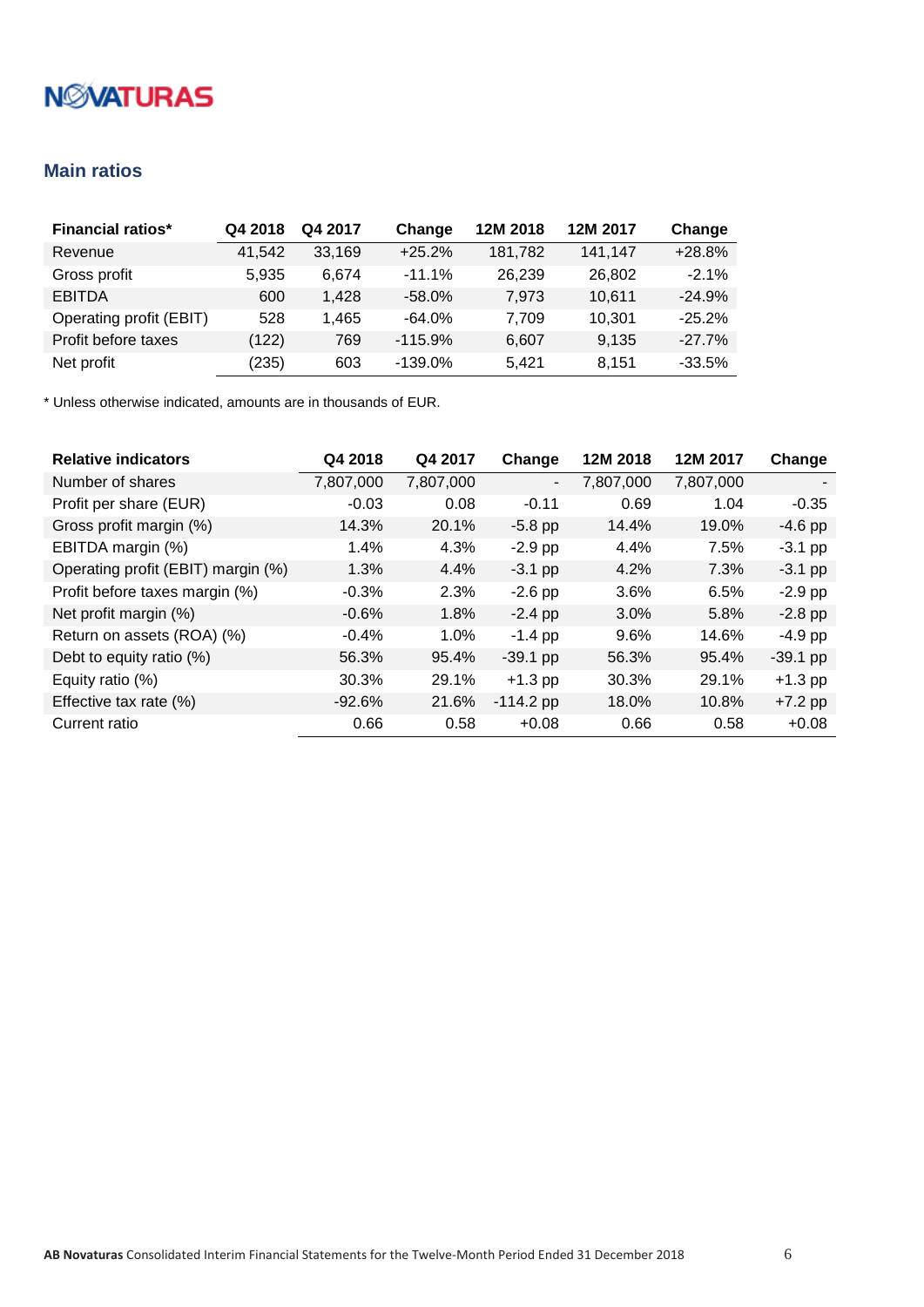### <span id="page-5-0"></span>**Main ratios**

| <b>Financial ratios*</b> | Q4 2018 | Q4 2017 | Change    | 12M 2018 | 12M 2017 | Change   |
|--------------------------|---------|---------|-----------|----------|----------|----------|
| Revenue                  | 41,542  | 33,169  | $+25.2%$  | 181.782  | 141.147  | $+28.8%$ |
| Gross profit             | 5.935   | 6.674   | $-11.1%$  | 26,239   | 26,802   | $-2.1%$  |
| <b>EBITDA</b>            | 600     | 1.428   | $-58.0%$  | 7.973    | 10.611   | $-24.9%$ |
| Operating profit (EBIT)  | 528     | 1.465   | $-64.0%$  | 7.709    | 10.301   | $-25.2%$ |
| Profit before taxes      | (122)   | 769     | $-115.9%$ | 6,607    | 9,135    | $-27.7%$ |
| Net profit               | (235)   | 603     | $-139.0%$ | 5.421    | 8.151    | $-33.5%$ |

| <b>Relative indicators</b>         | Q4 2018   | Q4 2017   | Change                   | 12M 2018  | 12M 2017  | Change     |
|------------------------------------|-----------|-----------|--------------------------|-----------|-----------|------------|
| Number of shares                   | 7,807,000 | 7,807,000 | $\overline{\phantom{a}}$ | 7,807,000 | 7,807,000 |            |
| Profit per share (EUR)             | $-0.03$   | 0.08      | $-0.11$                  | 0.69      | 1.04      | $-0.35$    |
| Gross profit margin (%)            | 14.3%     | 20.1%     | $-5.8$ pp                | 14.4%     | 19.0%     | $-4.6$ pp  |
| EBITDA margin (%)                  | 1.4%      | 4.3%      | $-2.9$ pp                | 4.4%      | 7.5%      | $-3.1$ pp  |
| Operating profit (EBIT) margin (%) | 1.3%      | 4.4%      | $-3.1$ pp                | 4.2%      | 7.3%      | $-3.1$ pp  |
| Profit before taxes margin (%)     | $-0.3%$   | 2.3%      | $-2.6$ pp                | 3.6%      | 6.5%      | $-2.9$ pp  |
| Net profit margin (%)              | $-0.6%$   | 1.8%      | $-2.4$ pp                | 3.0%      | 5.8%      | $-2.8$ pp  |
| Return on assets (ROA) (%)         | $-0.4%$   | $1.0\%$   | $-1.4$ pp                | 9.6%      | 14.6%     | $-4.9$ pp  |
| Debt to equity ratio (%)           | 56.3%     | 95.4%     | $-39.1$ pp               | 56.3%     | 95.4%     | $-39.1$ pp |
| Equity ratio (%)                   | 30.3%     | 29.1%     | $+1.3$ pp                | 30.3%     | 29.1%     | $+1.3$ pp  |
| Effective tax rate (%)             | $-92.6%$  | 21.6%     | $-114.2$ pp              | 18.0%     | 10.8%     | $+7.2$ pp  |
| Current ratio                      | 0.66      | 0.58      | $+0.08$                  | 0.66      | 0.58      | $+0.08$    |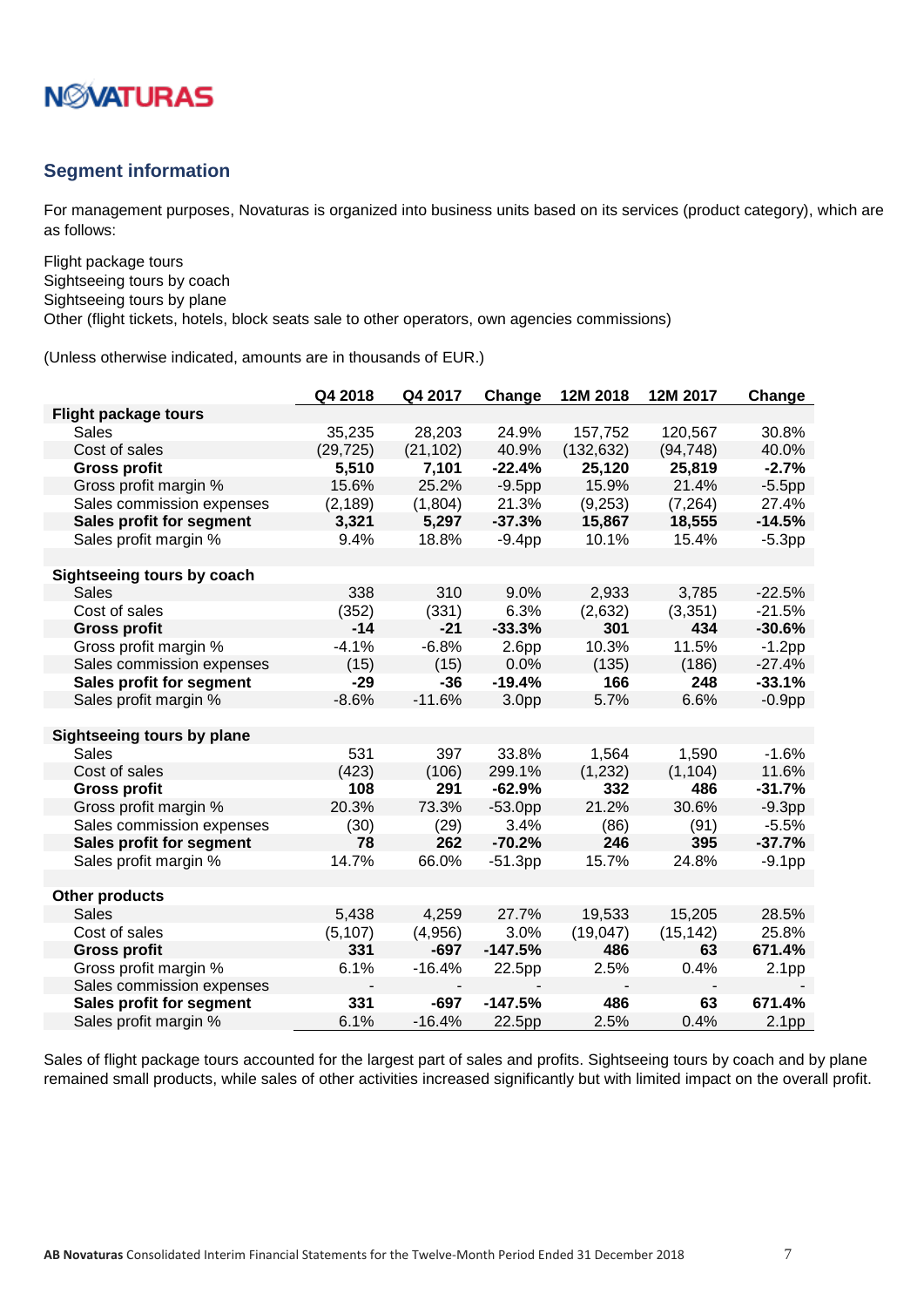

#### <span id="page-6-0"></span>**Segment information**

For management purposes, Novaturas is organized into business units based on its services (product category), which are as follows:

Flight package tours Sightseeing tours by coach Sightseeing tours by plane Other (flight tickets, hotels, block seats sale to other operators, own agencies commissions)

(Unless otherwise indicated, amounts are in thousands of EUR.)

|                                   | Q4 2018   | Q4 2017   | Change            | 12M 2018   | 12M 2017  | Change            |
|-----------------------------------|-----------|-----------|-------------------|------------|-----------|-------------------|
| <b>Flight package tours</b>       |           |           |                   |            |           |                   |
| <b>Sales</b>                      | 35,235    | 28,203    | 24.9%             | 157,752    | 120,567   | 30.8%             |
| Cost of sales                     | (29, 725) | (21, 102) | 40.9%             | (132, 632) | (94, 748) | 40.0%             |
| <b>Gross profit</b>               | 5,510     | 7,101     | $-22.4%$          | 25,120     | 25,819    | $-2.7%$           |
| Gross profit margin %             | 15.6%     | 25.2%     | $-9.5pp$          | 15.9%      | 21.4%     | $-5.5$ pp         |
| Sales commission expenses         | (2, 189)  | (1,804)   | 21.3%             | (9,253)    | (7, 264)  | 27.4%             |
| Sales profit for segment          | 3,321     | 5,297     | $-37.3%$          | 15,867     | 18,555    | $-14.5%$          |
| Sales profit margin %             | 9.4%      | 18.8%     | $-9.4pp$          | 10.1%      | 15.4%     | $-5.3pp$          |
| Sightseeing tours by coach        |           |           |                   |            |           |                   |
| <b>Sales</b>                      | 338       | 310       | 9.0%              | 2,933      | 3,785     | $-22.5%$          |
| Cost of sales                     | (352)     | (331)     | 6.3%              | (2,632)    | (3,351)   | $-21.5%$          |
| <b>Gross profit</b>               | $-14$     | $-21$     | $-33.3%$          | 301        | 434       | $-30.6%$          |
| Gross profit margin %             | $-4.1%$   | $-6.8%$   | 2.6 <sub>pp</sub> | 10.3%      | 11.5%     | $-1.2pp$          |
| Sales commission expenses         | (15)      | (15)      | 0.0%              | (135)      | (186)     | $-27.4%$          |
| Sales profit for segment          | $-29$     | -36       | $-19.4%$          | 166        | 248       | $-33.1%$          |
| Sales profit margin %             | $-8.6%$   | $-11.6%$  | 3.0 <sub>pp</sub> | 5.7%       | 6.6%      | $-0.9pp$          |
| <b>Sightseeing tours by plane</b> |           |           |                   |            |           |                   |
| Sales                             | 531       | 397       | 33.8%             | 1,564      | 1,590     | $-1.6%$           |
| Cost of sales                     | (423)     | (106)     | 299.1%            | (1, 232)   | (1, 104)  | 11.6%             |
| <b>Gross profit</b>               | 108       | 291       | $-62.9%$          | 332        | 486       | $-31.7%$          |
| Gross profit margin %             | 20.3%     | 73.3%     | $-53.0pp$         | 21.2%      | 30.6%     | $-9.3pp$          |
| Sales commission expenses         | (30)      | (29)      | 3.4%              | (86)       | (91)      | $-5.5%$           |
| Sales profit for segment          | 78        | 262       | $-70.2%$          | 246        | 395       | $-37.7%$          |
| Sales profit margin %             | 14.7%     | 66.0%     | $-51.3pp$         | 15.7%      | 24.8%     | $-9.1pp$          |
| <b>Other products</b>             |           |           |                   |            |           |                   |
| <b>Sales</b>                      | 5,438     | 4,259     | 27.7%             | 19,533     | 15,205    | 28.5%             |
| Cost of sales                     | (5, 107)  | (4,956)   | 3.0%              | (19, 047)  | (15, 142) | 25.8%             |
| <b>Gross profit</b>               | 331       | -697      | $-147.5%$         | 486        | 63        | 671.4%            |
| Gross profit margin %             | 6.1%      | $-16.4%$  | 22.5pp            | 2.5%       | 0.4%      | 2.1 <sub>pp</sub> |
| Sales commission expenses         |           |           |                   |            |           |                   |
| Sales profit for segment          | 331       | $-697$    | $-147.5%$         | 486        | 63        | 671.4%            |
| Sales profit margin %             | 6.1%      | $-16.4%$  | 22.5pp            | 2.5%       | 0.4%      | 2.1 <sub>pp</sub> |

Sales of flight package tours accounted for the largest part of sales and profits. Sightseeing tours by coach and by plane remained small products, while sales of other activities increased significantly but with limited impact on the overall profit.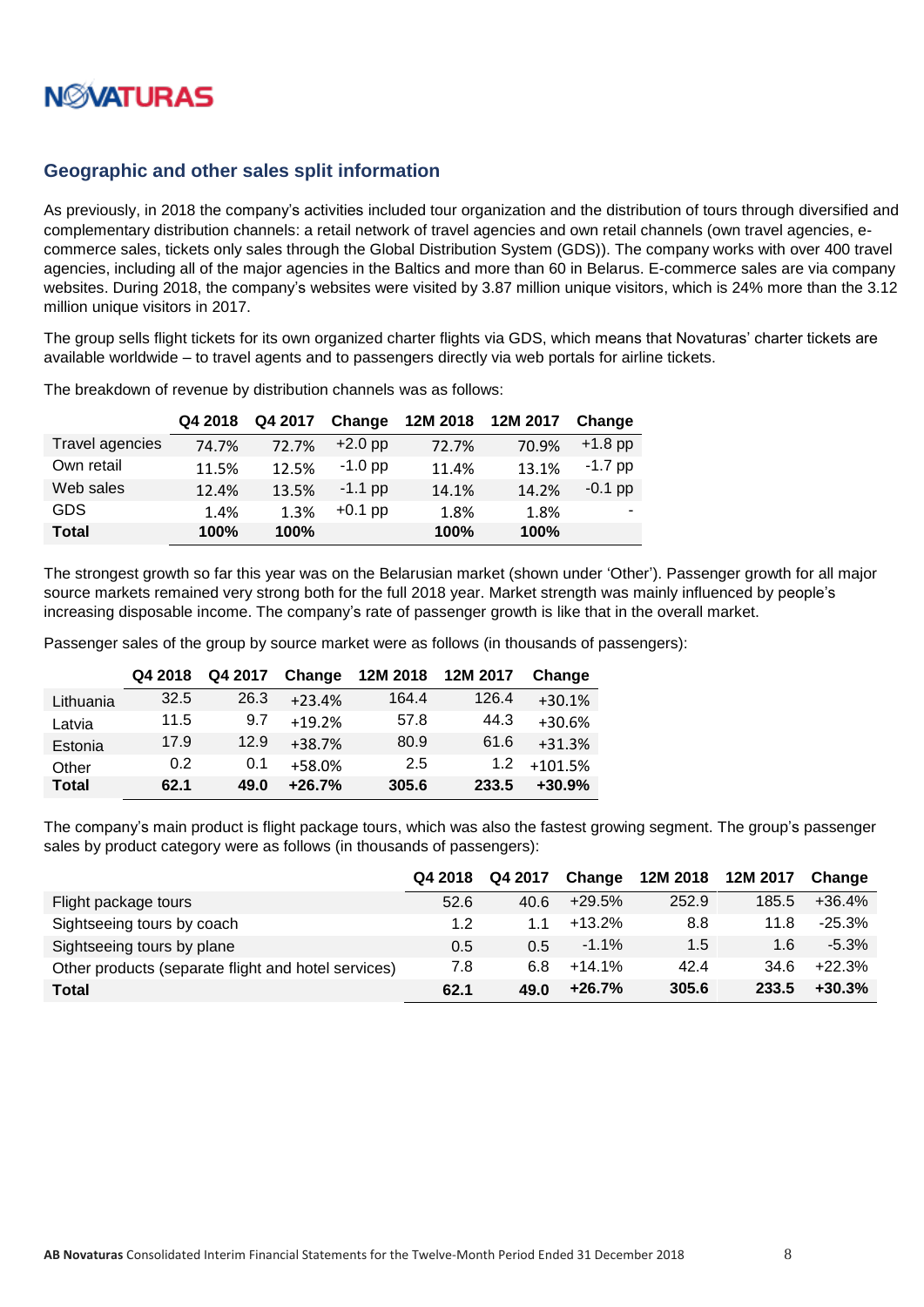

#### <span id="page-7-0"></span>**Geographic and other sales split information**

As previously, in 2018 the company's activities included tour organization and the distribution of tours through diversified and complementary distribution channels: a retail network of travel agencies and own retail channels (own travel agencies, ecommerce sales, tickets only sales through the Global Distribution System (GDS)). The company works with over 400 travel agencies, including all of the major agencies in the Baltics and more than 60 in Belarus. E-commerce sales are via company websites. During 2018, the company's websites were visited by 3.87 million unique visitors, which is 24% more than the 3.12 million unique visitors in 2017.

The group sells flight tickets for its own organized charter flights via GDS, which means that Novaturas' charter tickets are available worldwide – to travel agents and to passengers directly via web portals for airline tickets.

|                 | Q4 2018 | Q4 2017 | Change    | 12M 2018 | 12M 2017 | Change    |
|-----------------|---------|---------|-----------|----------|----------|-----------|
| Travel agencies | 74.7%   | 72.7%   | $+2.0$ pp | 72.7%    | 70.9%    | $+1.8$ pp |
| Own retail      | 11.5%   | 12.5%   | $-1.0$ pp | 11.4%    | 13.1%    | $-1.7$ pp |
| Web sales       | 12.4%   | 13.5%   | $-1.1$ pp | 14.1%    | 14.2%    | $-0.1$ pp |
| <b>GDS</b>      | 1.4%    | 1.3%    | $+0.1$ pp | 1.8%     | 1.8%     |           |
| <b>Total</b>    | 100%    | 100%    |           | 100%     | 100%     |           |

The breakdown of revenue by distribution channels was as follows:

The strongest growth so far this year was on the Belarusian market (shown under 'Other'). Passenger growth for all major source markets remained very strong both for the full 2018 year. Market strength was mainly influenced by people's increasing disposable income. The company's rate of passenger growth is like that in the overall market.

Passenger sales of the group by source market were as follows (in thousands of passengers):

|              | Q4 2018 | Q4 2017 | Change   | 12M 2018 | 12M 2017 | Change    |
|--------------|---------|---------|----------|----------|----------|-----------|
| Lithuania    | 32.5    | 26.3    | $+23.4%$ | 164.4    | 126.4    | $+30.1%$  |
| Latvia       | 11.5    | 9.7     | $+19.2%$ | 57.8     | 44.3     | $+30.6%$  |
| Estonia      | 17.9    | 12.9    | $+38.7%$ | 80.9     | 61.6     | $+31.3%$  |
| Other        | 0.2     | 0.1     | +58.0%   | 2.5      | 1.2      | $+101.5%$ |
| <b>Total</b> | 62.1    | 49.0    | $+26.7%$ | 305.6    | 233.5    | $+30.9%$  |

The company's main product is flight package tours, which was also the fastest growing segment. The group's passenger sales by product category were as follows (in thousands of passengers):

|                                                     | Q4 2018 | Q4 2017 | Change   | 12M 2018 | 12M 2017 | Change   |
|-----------------------------------------------------|---------|---------|----------|----------|----------|----------|
| Flight package tours                                | 52.6    | 40.6    | $+29.5%$ | 252.9    | 185.5    | $+36.4%$ |
| Sightseeing tours by coach                          | 1.2     | 11      | $+13.2%$ | 8.8      | 11.8     | $-25.3%$ |
| Sightseeing tours by plane                          | 0.5     | 0.5     | $-1.1\%$ | 1.5      | 1.6      | $-5.3\%$ |
| Other products (separate flight and hotel services) | 7.8     | 6.8     | $+14.1%$ | 42.4     | 34.6     | $+22.3%$ |
| <b>Total</b>                                        | 62.1    | 49.0    | $+26.7%$ | 305.6    | 233.5    | $+30.3%$ |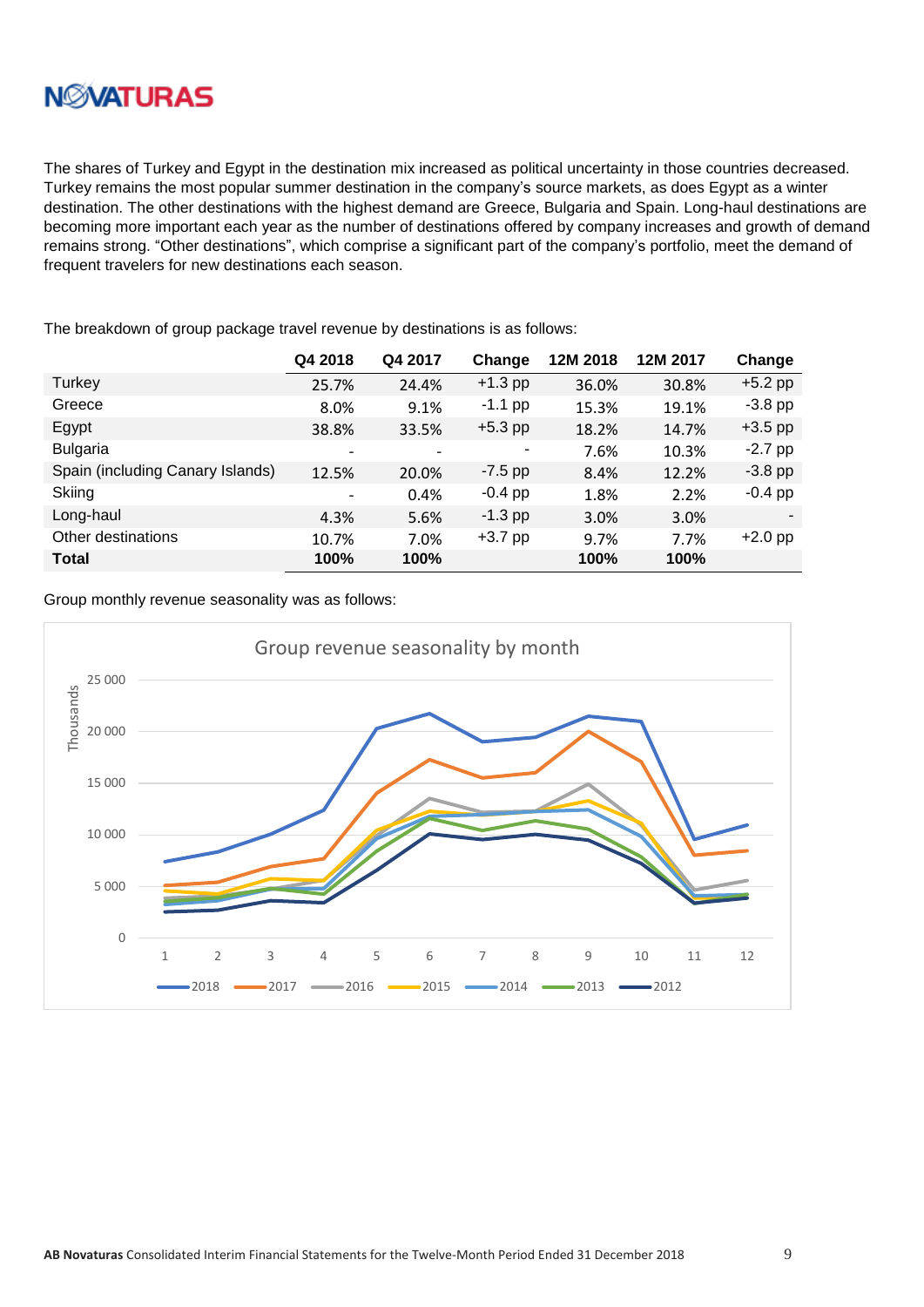

The shares of Turkey and Egypt in the destination mix increased as political uncertainty in those countries decreased. Turkey remains the most popular summer destination in the company's source markets, as does Egypt as a winter destination. The other destinations with the highest demand are Greece, Bulgaria and Spain. Long-haul destinations are becoming more important each year as the number of destinations offered by company increases and growth of demand remains strong. "Other destinations", which comprise a significant part of the company's portfolio, meet the demand of frequent travelers for new destinations each season.

|                                  | Q4 2018                  | Q4 2017 | Change    | 12M 2018 | 12M 2017 | Change    |
|----------------------------------|--------------------------|---------|-----------|----------|----------|-----------|
| Turkey                           | 25.7%                    | 24.4%   | $+1.3$ pp | 36.0%    | 30.8%    | $+5.2$ pp |
| Greece                           | 8.0%                     | 9.1%    | $-1.1$ pp | 15.3%    | 19.1%    | $-3.8$ pp |
| Egypt                            | 38.8%                    | 33.5%   | $+5.3$ pp | 18.2%    | 14.7%    | $+3.5$ pp |
| <b>Bulgaria</b>                  |                          |         | ٠         | 7.6%     | 10.3%    | $-2.7$ pp |
| Spain (including Canary Islands) | 12.5%                    | 20.0%   | $-7.5$ pp | 8.4%     | 12.2%    | $-3.8$ pp |
| Skiing                           | $\overline{\phantom{a}}$ | 0.4%    | $-0.4$ pp | 1.8%     | 2.2%     | $-0.4$ pp |
| Long-haul                        | 4.3%                     | 5.6%    | $-1.3$ pp | 3.0%     | 3.0%     |           |
| Other destinations               | 10.7%                    | 7.0%    | $+3.7$ pp | 9.7%     | 7.7%     | $+2.0$ pp |
| <b>Total</b>                     | 100%                     | 100%    |           | 100%     | 100%     |           |

The breakdown of group package travel revenue by destinations is as follows:

Group monthly revenue seasonality was as follows:

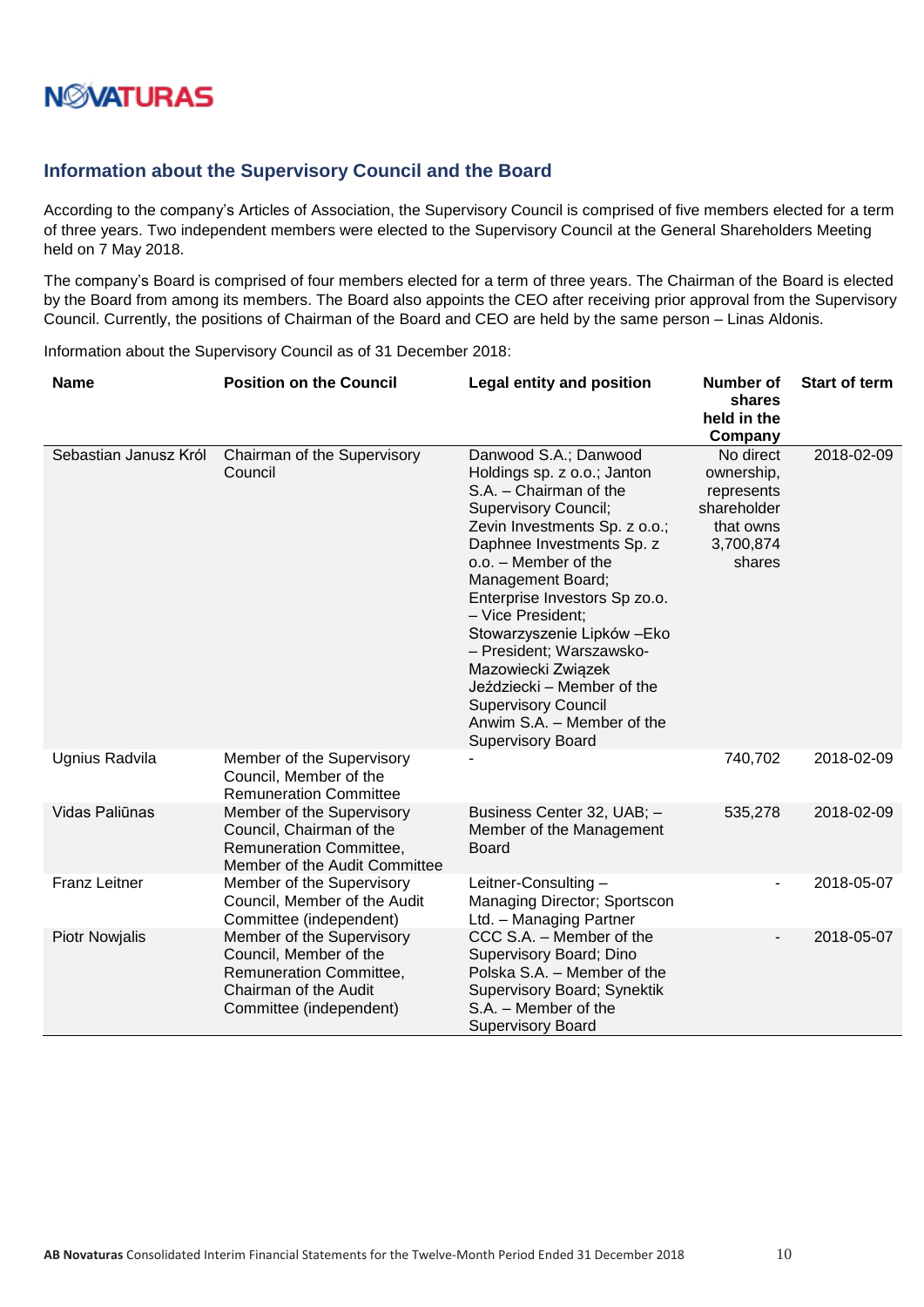### <span id="page-9-0"></span>**Information about the Supervisory Council and the Board**

According to the company's Articles of Association, the Supervisory Council is comprised of five members elected for a term of three years. Two independent members were elected to the Supervisory Council at the General Shareholders Meeting held on 7 May 2018.

The company's Board is comprised of four members elected for a term of three years. The Chairman of the Board is elected by the Board from among its members. The Board also appoints the CEO after receiving prior approval from the Supervisory Council. Currently, the positions of Chairman of the Board and CEO are held by the same person – Linas Aldonis.

Information about the Supervisory Council as of 31 December 2018:

| <b>Name</b>           | <b>Position on the Council</b>                                                                                                     | <b>Legal entity and position</b>                                                                                                                                                                                                                                                                                                                                                                                                                                                      | <b>Number of</b><br>shares<br>held in the<br>Company                                     | <b>Start of term</b> |
|-----------------------|------------------------------------------------------------------------------------------------------------------------------------|---------------------------------------------------------------------------------------------------------------------------------------------------------------------------------------------------------------------------------------------------------------------------------------------------------------------------------------------------------------------------------------------------------------------------------------------------------------------------------------|------------------------------------------------------------------------------------------|----------------------|
| Sebastian Janusz Król | Chairman of the Supervisory<br>Council                                                                                             | Danwood S.A.; Danwood<br>Holdings sp. z o.o.; Janton<br>S.A. - Chairman of the<br><b>Supervisory Council;</b><br>Zevin Investments Sp. z o.o.;<br>Daphnee Investments Sp. z<br>o.o. - Member of the<br>Management Board;<br>Enterprise Investors Sp zo.o.<br>- Vice President:<br>Stowarzyszenie Lipków - Eko<br>- President; Warszawsko-<br>Mazowiecki Związek<br>Jeździecki - Member of the<br><b>Supervisory Council</b><br>Anwim S.A. - Member of the<br><b>Supervisory Board</b> | No direct<br>ownership,<br>represents<br>shareholder<br>that owns<br>3,700,874<br>shares | 2018-02-09           |
| Ugnius Radvila        | Member of the Supervisory<br>Council, Member of the<br><b>Remuneration Committee</b>                                               |                                                                                                                                                                                                                                                                                                                                                                                                                                                                                       | 740,702                                                                                  | 2018-02-09           |
| Vidas Paliūnas        | Member of the Supervisory<br>Council, Chairman of the<br><b>Remuneration Committee,</b><br>Member of the Audit Committee           | Business Center 32, UAB; -<br>Member of the Management<br><b>Board</b>                                                                                                                                                                                                                                                                                                                                                                                                                | 535,278                                                                                  | 2018-02-09           |
| <b>Franz Leitner</b>  | Member of the Supervisory<br>Council, Member of the Audit<br>Committee (independent)                                               | Leitner-Consulting-<br>Managing Director; Sportscon<br>Ltd. - Managing Partner                                                                                                                                                                                                                                                                                                                                                                                                        |                                                                                          | 2018-05-07           |
| <b>Piotr Nowjalis</b> | Member of the Supervisory<br>Council, Member of the<br>Remuneration Committee,<br>Chairman of the Audit<br>Committee (independent) | CCC S.A. - Member of the<br>Supervisory Board; Dino<br>Polska S.A. - Member of the<br>Supervisory Board; Synektik<br>S.A. - Member of the<br><b>Supervisory Board</b>                                                                                                                                                                                                                                                                                                                 |                                                                                          | 2018-05-07           |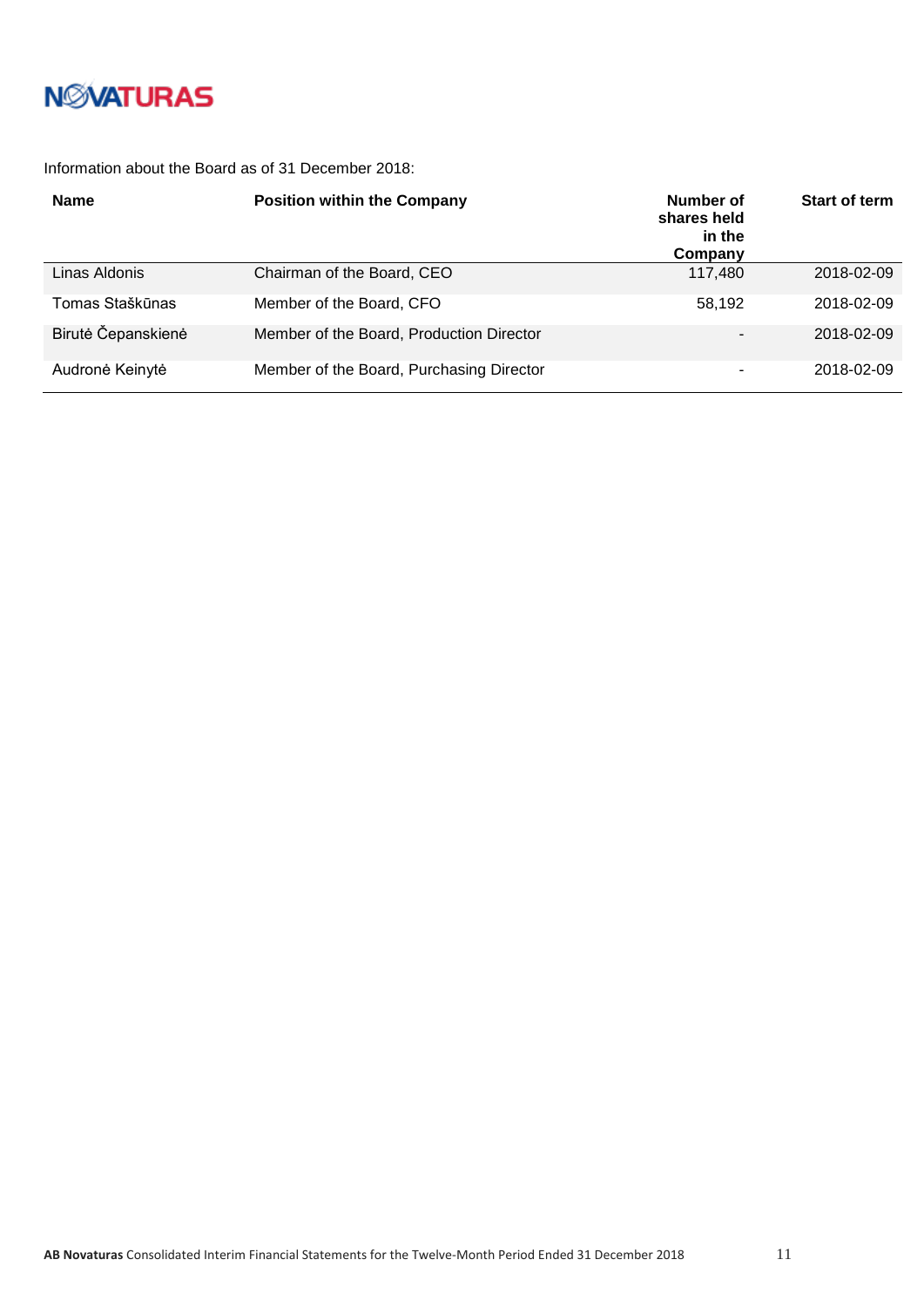

#### Information about the Board as of 31 December 2018:

| <b>Name</b>        | <b>Position within the Company</b>       | Number of<br>shares held<br>in the<br>Company | <b>Start of term</b> |
|--------------------|------------------------------------------|-----------------------------------------------|----------------------|
| Linas Aldonis      | Chairman of the Board, CEO               | 117,480                                       | 2018-02-09           |
| Tomas Staškūnas    | Member of the Board, CFO                 | 58.192                                        | 2018-02-09           |
| Birutė Čepanskienė | Member of the Board, Production Director |                                               | 2018-02-09           |
| Audronė Keinytė    | Member of the Board, Purchasing Director |                                               | 2018-02-09           |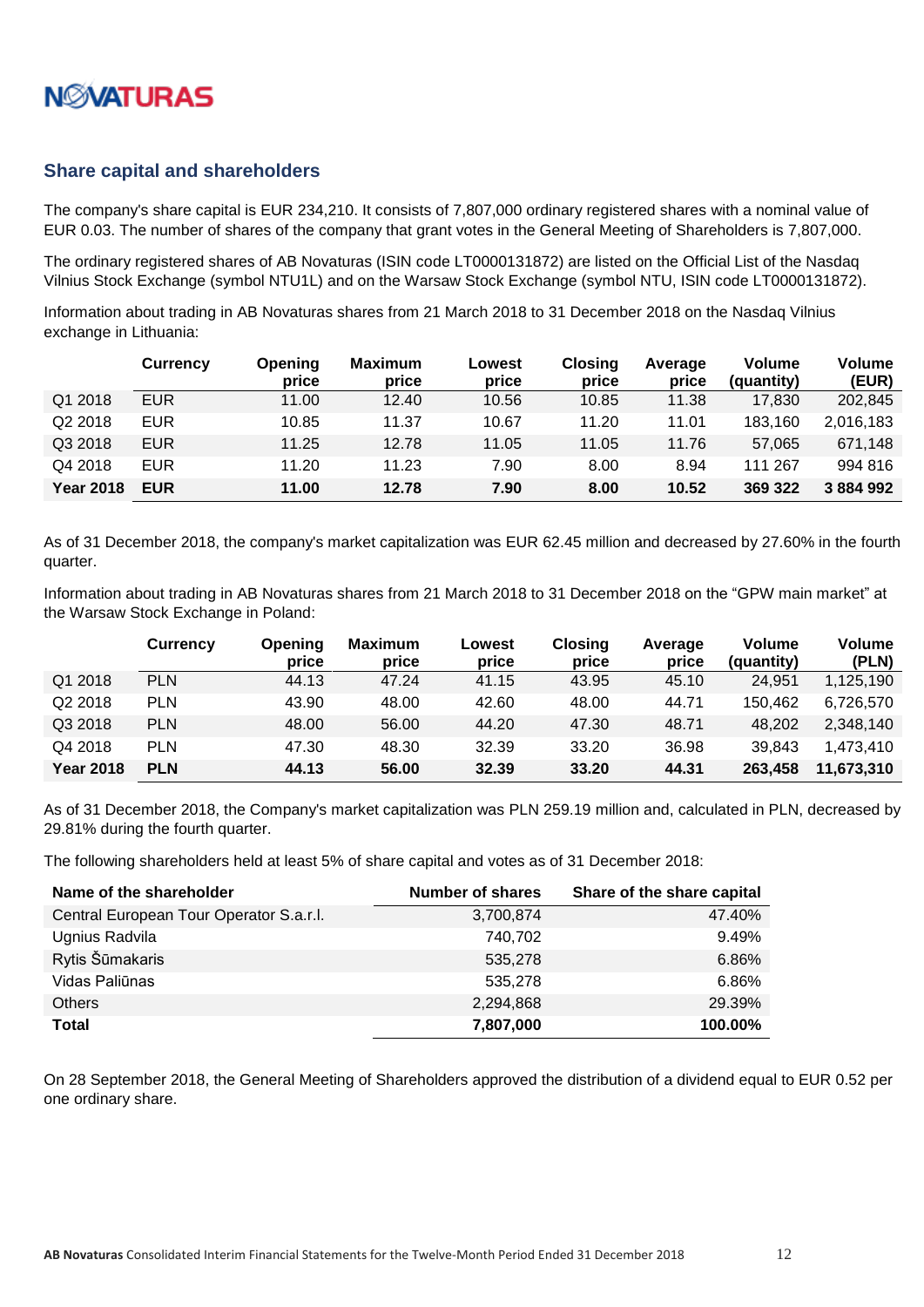

#### <span id="page-11-0"></span>**Share capital and shareholders**

The company's share capital is EUR 234,210. It consists of 7,807,000 ordinary registered shares with a nominal value of EUR 0.03. The number of shares of the company that grant votes in the General Meeting of Shareholders is 7,807,000.

The ordinary registered shares of AB Novaturas (ISIN code LT0000131872) are listed on the Official List of the Nasdaq Vilnius Stock Exchange (symbol NTU1L) and on the Warsaw Stock Exchange (symbol NTU, ISIN code LT0000131872).

Information about trading in AB Novaturas shares from 21 March 2018 to 31 December 2018 on the Nasdaq Vilnius exchange in Lithuania:

|                  | <b>Currency</b> | <b>Opening</b><br>price | <b>Maximum</b><br>price | Lowest<br>price | <b>Closing</b><br>price | Average<br>price | <b>Volume</b><br>(quantity) | <b>Volume</b><br>(EUR) |
|------------------|-----------------|-------------------------|-------------------------|-----------------|-------------------------|------------------|-----------------------------|------------------------|
| Q1 2018          | <b>EUR</b>      | 11.00                   | 12.40                   | 10.56           | 10.85                   | 11.38            | 17,830                      | 202,845                |
| Q2 2018          | <b>EUR</b>      | 10.85                   | 11.37                   | 10.67           | 11.20                   | 11.01            | 183.160                     | 2,016,183              |
| Q3 2018          | <b>EUR</b>      | 11.25                   | 12.78                   | 11.05           | 11.05                   | 11.76            | 57,065                      | 671,148                |
| Q4 2018          | <b>EUR</b>      | 11.20                   | 11.23                   | 7.90            | 8.00                    | 8.94             | 111 267                     | 994 816                |
| <b>Year 2018</b> | <b>EUR</b>      | 11.00                   | 12.78                   | 7.90            | 8.00                    | 10.52            | 369 322                     | 3 884 992              |

As of 31 December 2018, the company's market capitalization was EUR 62.45 million and decreased by 27.60% in the fourth quarter.

Information about trading in AB Novaturas shares from 21 March 2018 to 31 December 2018 on the "GPW main market" at the Warsaw Stock Exchange in Poland:

|                  | Currency   | <b>Opening</b><br>price | Maximum<br>price | Lowest<br>price | Closing<br>price | Average<br>price | Volume<br>(quantity) | <b>Volume</b><br>(PLN) |
|------------------|------------|-------------------------|------------------|-----------------|------------------|------------------|----------------------|------------------------|
| Q1 2018          | <b>PLN</b> | 44.13                   | 47.24            | 41.15           | 43.95            | 45.10            | 24,951               | 1,125,190              |
| Q2 2018          | <b>PLN</b> | 43.90                   | 48.00            | 42.60           | 48.00            | 44.71            | 150.462              | 6.726.570              |
| Q3 2018          | <b>PLN</b> | 48.00                   | 56.00            | 44.20           | 47.30            | 48.71            | 48.202               | 2,348,140              |
| Q4 2018          | <b>PLN</b> | 47.30                   | 48.30            | 32.39           | 33.20            | 36.98            | 39.843               | 1.473.410              |
| <b>Year 2018</b> | <b>PLN</b> | 44.13                   | 56.00            | 32.39           | 33.20            | 44.31            | 263,458              | 11,673,310             |

As of 31 December 2018, the Company's market capitalization was PLN 259.19 million and, calculated in PLN, decreased by 29.81% during the fourth quarter.

The following shareholders held at least 5% of share capital and votes as of 31 December 2018:

| Name of the shareholder                 | <b>Number of shares</b> | Share of the share capital |
|-----------------------------------------|-------------------------|----------------------------|
| Central European Tour Operator S.a.r.l. | 3,700,874               | 47.40%                     |
| Ugnius Radvila                          | 740,702                 | 9.49%                      |
| Rytis Šūmakaris                         | 535,278                 | 6.86%                      |
| Vidas Paliūnas                          | 535.278                 | 6.86%                      |
| <b>Others</b>                           | 2,294,868               | 29.39%                     |
| <b>Total</b>                            | 7,807,000               | 100.00%                    |

On 28 September 2018, the General Meeting of Shareholders approved the distribution of a dividend equal to EUR 0.52 per one ordinary share.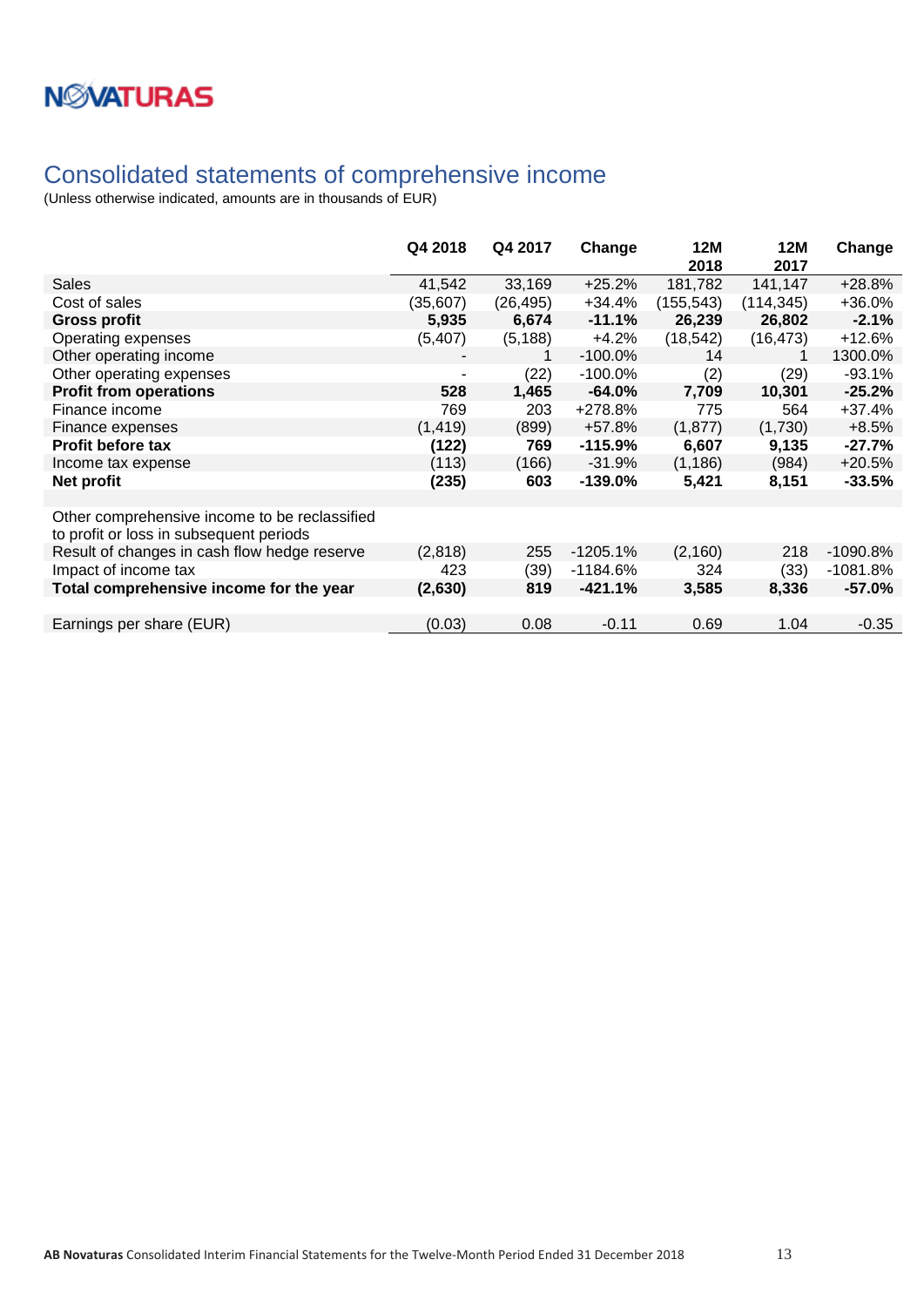### <span id="page-12-0"></span>Consolidated statements of comprehensive income

|                                                                                          | Q4 2018  | Q4 2017   | Change     | <b>12M</b><br>2018 | <b>12M</b><br>2017 | Change     |
|------------------------------------------------------------------------------------------|----------|-----------|------------|--------------------|--------------------|------------|
| <b>Sales</b>                                                                             | 41,542   | 33,169    | $+25.2%$   | 181,782            | 141,147            | $+28.8%$   |
| Cost of sales                                                                            | (35,607) | (26, 495) | $+34.4%$   | (155, 543)         | (114, 345)         | +36.0%     |
| <b>Gross profit</b>                                                                      | 5,935    | 6,674     | $-11.1%$   | 26,239             | 26,802             | $-2.1%$    |
| Operating expenses                                                                       | (5, 407) | (5, 188)  | $+4.2%$    | (18, 542)          | (16, 473)          | $+12.6%$   |
| Other operating income                                                                   |          |           | $-100.0\%$ | 14                 | 1                  | 1300.0%    |
| Other operating expenses                                                                 | ۰        | (22)      | $-100.0%$  | (2)                | (29)               | $-93.1%$   |
| <b>Profit from operations</b>                                                            | 528      | 1,465     | $-64.0%$   | 7,709              | 10,301             | $-25.2%$   |
| Finance income                                                                           | 769      | 203       | +278.8%    | 775                | 564                | $+37.4%$   |
| Finance expenses                                                                         | (1, 419) | (899)     | +57.8%     | (1, 877)           | (1,730)            | $+8.5%$    |
| <b>Profit before tax</b>                                                                 | (122)    | 769       | $-115.9%$  | 6,607              | 9,135              | $-27.7%$   |
| Income tax expense                                                                       | (113)    | (166)     | $-31.9%$   | (1, 186)           | (984)              | $+20.5%$   |
| Net profit                                                                               | (235)    | 603       | $-139.0%$  | 5,421              | 8,151              | $-33.5%$   |
| Other comprehensive income to be reclassified<br>to profit or loss in subsequent periods |          |           |            |                    |                    |            |
| Result of changes in cash flow hedge reserve                                             | (2,818)  | 255       | $-1205.1%$ | (2, 160)           | 218                | $-1090.8%$ |
| Impact of income tax                                                                     | 423      | (39)      | $-1184.6%$ | 324                | (33)               | $-1081.8%$ |
| Total comprehensive income for the year                                                  | (2,630)  | 819       | $-421.1%$  | 3,585              | 8,336              | $-57.0%$   |
|                                                                                          |          |           |            |                    |                    |            |
| Earnings per share (EUR)                                                                 | (0.03)   | 0.08      | $-0.11$    | 0.69               | 1.04               | $-0.35$    |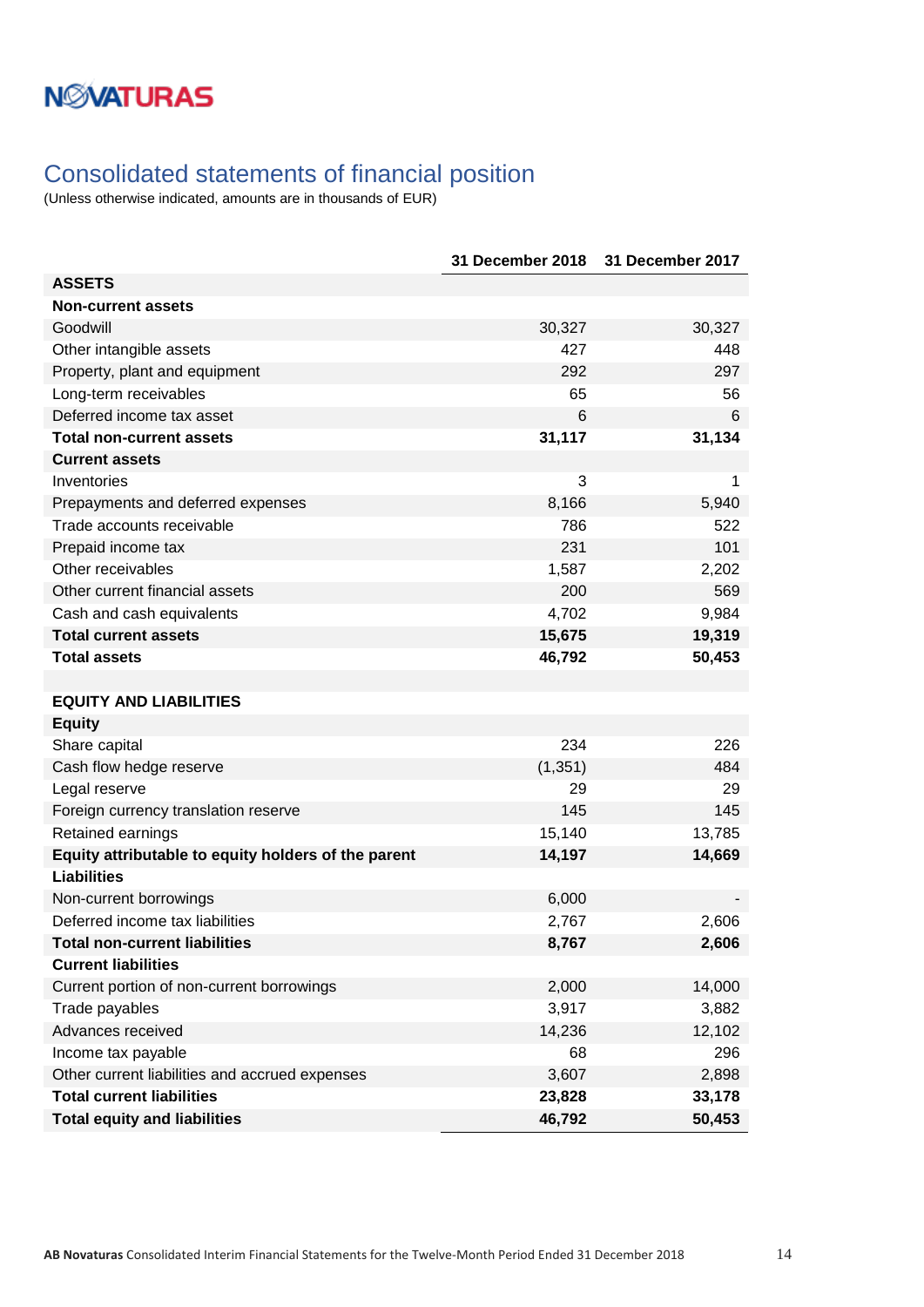### <span id="page-13-0"></span>Consolidated statements of financial position

|                                                     | <b>31 December 2018</b> | 31 December 2017 |
|-----------------------------------------------------|-------------------------|------------------|
| <b>ASSETS</b>                                       |                         |                  |
| <b>Non-current assets</b>                           |                         |                  |
| Goodwill                                            | 30,327                  | 30,327           |
| Other intangible assets                             | 427                     | 448              |
| Property, plant and equipment                       | 292                     | 297              |
| Long-term receivables                               | 65                      | 56               |
| Deferred income tax asset                           | 6                       | 6                |
| <b>Total non-current assets</b>                     | 31,117                  | 31,134           |
| <b>Current assets</b>                               |                         |                  |
| Inventories                                         | 3                       | 1                |
| Prepayments and deferred expenses                   | 8,166                   | 5,940            |
| Trade accounts receivable                           | 786                     | 522              |
| Prepaid income tax                                  | 231                     | 101              |
| Other receivables                                   | 1,587                   | 2,202            |
| Other current financial assets                      | 200                     | 569              |
| Cash and cash equivalents                           | 4,702                   | 9,984            |
| <b>Total current assets</b>                         | 15,675                  | 19,319           |
| <b>Total assets</b>                                 | 46,792                  | 50,453           |
|                                                     |                         |                  |
| <b>EQUITY AND LIABILITIES</b>                       |                         |                  |
| <b>Equity</b>                                       |                         |                  |
| Share capital                                       | 234                     | 226              |
| Cash flow hedge reserve                             | (1, 351)                | 484              |
| Legal reserve                                       | 29                      | 29               |
| Foreign currency translation reserve                | 145                     | 145              |
| Retained earnings                                   | 15,140                  | 13,785           |
| Equity attributable to equity holders of the parent | 14,197                  | 14,669           |
| <b>Liabilities</b>                                  |                         |                  |
| Non-current borrowings                              | 6,000                   |                  |
| Deferred income tax liabilities                     | 2,767                   | 2,606            |
| Total non-current liabilities                       | 8,767                   | 2,606            |
| <b>Current liabilities</b>                          |                         |                  |
| Current portion of non-current borrowings           | 2,000                   | 14,000           |
| Trade payables                                      | 3,917                   | 3,882            |
| Advances received                                   | 14,236                  | 12,102           |
| Income tax payable                                  | 68                      | 296              |
| Other current liabilities and accrued expenses      | 3,607                   | 2,898            |
| <b>Total current liabilities</b>                    | 23,828                  | 33,178           |
| <b>Total equity and liabilities</b>                 | 46,792                  | 50,453           |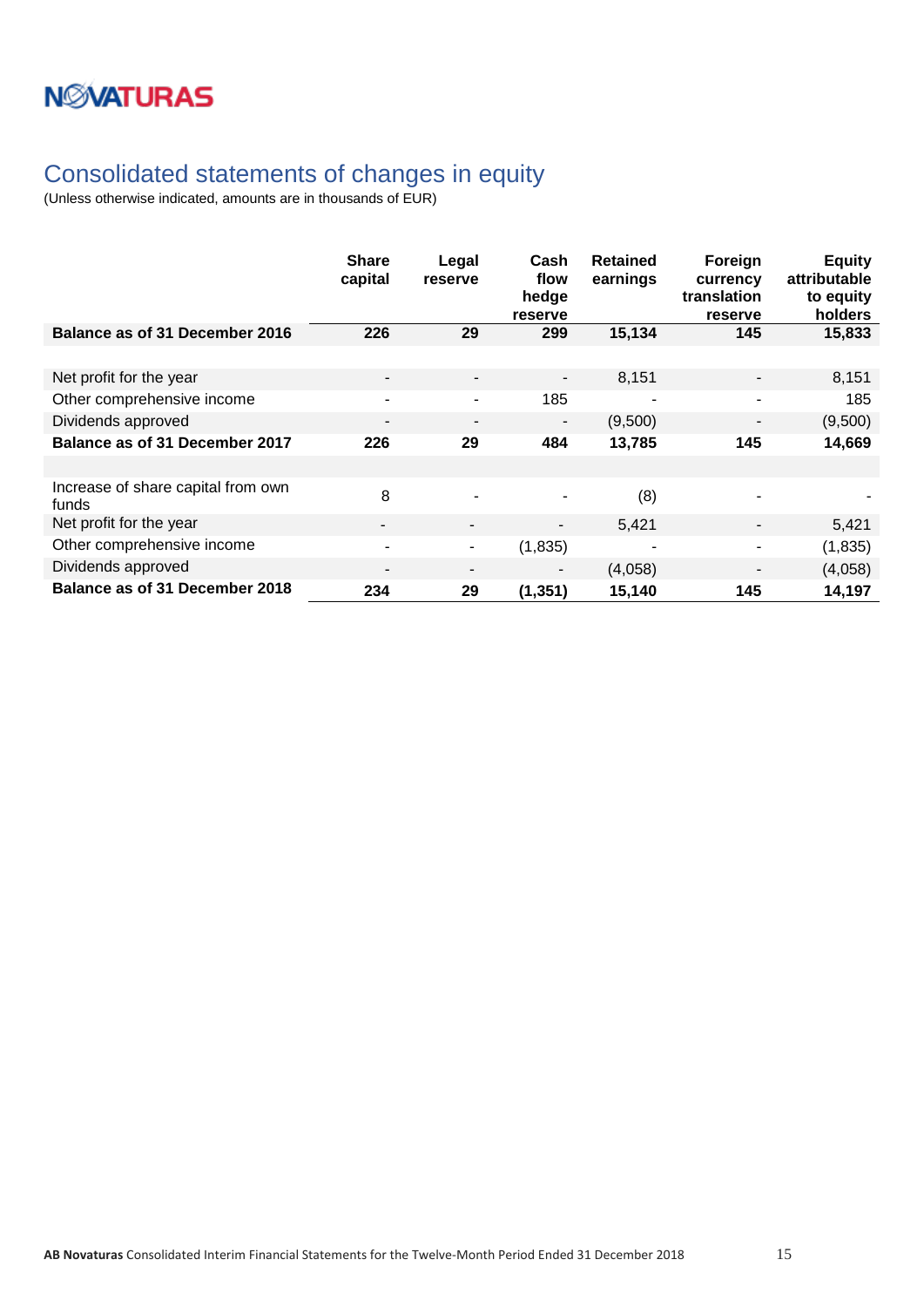### <span id="page-14-0"></span>Consolidated statements of changes in equity

|                                             | <b>Share</b><br>capital  | Legal<br>reserve         | Cash<br>flow<br>hedge<br>reserve | <b>Retained</b><br>earnings | Foreign<br>currency<br>translation<br>reserve | <b>Equity</b><br>attributable<br>to equity<br>holders |
|---------------------------------------------|--------------------------|--------------------------|----------------------------------|-----------------------------|-----------------------------------------------|-------------------------------------------------------|
| Balance as of 31 December 2016              | 226                      | 29                       | 299                              | 15,134                      | 145                                           | 15,833                                                |
|                                             |                          |                          |                                  |                             |                                               |                                                       |
| Net profit for the year                     | $\overline{\phantom{a}}$ | $\overline{\phantom{a}}$ | $\blacksquare$                   | 8,151                       | $\qquad \qquad \blacksquare$                  | 8,151                                                 |
| Other comprehensive income                  | ۰                        | $\blacksquare$           | 185                              |                             | ۰                                             | 185                                                   |
| Dividends approved                          | $\blacksquare$           | $\overline{\phantom{a}}$ | $\overline{\phantom{a}}$         | (9,500)                     | $\overline{\phantom{0}}$                      | (9,500)                                               |
| Balance as of 31 December 2017              | 226                      | 29                       | 484                              | 13,785                      | 145                                           | 14,669                                                |
|                                             |                          |                          |                                  |                             |                                               |                                                       |
| Increase of share capital from own<br>funds | 8                        |                          |                                  | (8)                         |                                               |                                                       |
| Net profit for the year                     | ۰.                       | ٠                        | ٠                                | 5,421                       |                                               | 5,421                                                 |
| Other comprehensive income                  | ۰                        | ۰                        | (1,835)                          |                             | ۰                                             | (1,835)                                               |
| Dividends approved                          | $\overline{\phantom{0}}$ | ۰                        | -                                | (4,058)                     | -                                             | (4,058)                                               |
| Balance as of 31 December 2018              | 234                      | 29                       | (1, 351)                         | 15,140                      | 145                                           | 14,197                                                |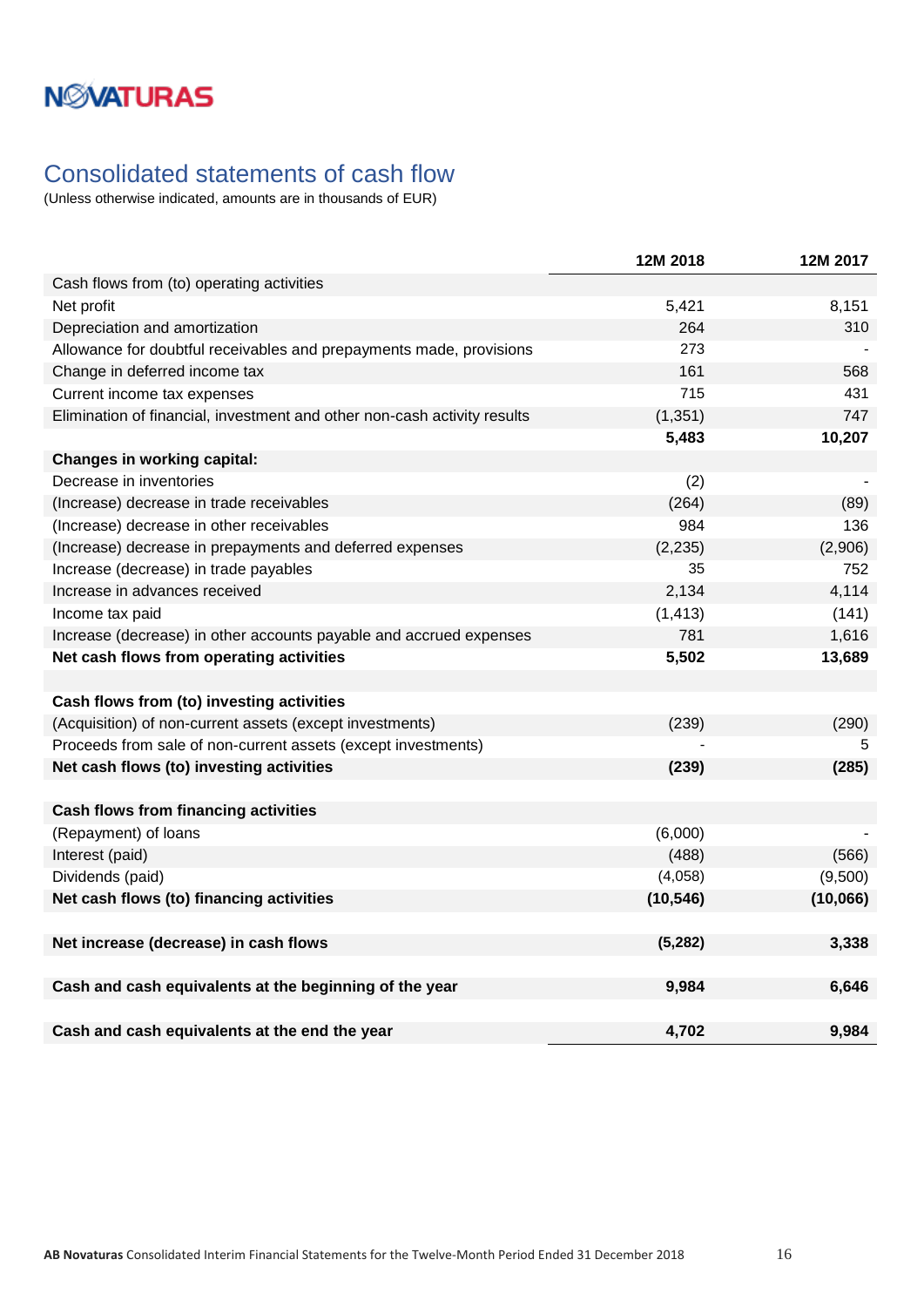### <span id="page-15-0"></span>Consolidated statements of cash flow

|                                                                          | 12M 2018  | 12M 2017 |
|--------------------------------------------------------------------------|-----------|----------|
| Cash flows from (to) operating activities                                |           |          |
| Net profit                                                               | 5,421     | 8,151    |
| Depreciation and amortization                                            | 264       | 310      |
| Allowance for doubtful receivables and prepayments made, provisions      | 273       |          |
| Change in deferred income tax                                            | 161       | 568      |
| Current income tax expenses                                              | 715       | 431      |
| Elimination of financial, investment and other non-cash activity results | (1, 351)  | 747      |
|                                                                          | 5,483     | 10,207   |
| <b>Changes in working capital:</b>                                       |           |          |
| Decrease in inventories                                                  | (2)       |          |
| (Increase) decrease in trade receivables                                 | (264)     | (89)     |
| (Increase) decrease in other receivables                                 | 984       | 136      |
| (Increase) decrease in prepayments and deferred expenses                 | (2, 235)  | (2,906)  |
| Increase (decrease) in trade payables                                    | 35        | 752      |
| Increase in advances received                                            | 2,134     | 4,114    |
| Income tax paid                                                          | (1, 413)  | (141)    |
| Increase (decrease) in other accounts payable and accrued expenses       | 781       | 1,616    |
| Net cash flows from operating activities                                 | 5,502     | 13,689   |
|                                                                          |           |          |
| Cash flows from (to) investing activities                                |           |          |
| (Acquisition) of non-current assets (except investments)                 | (239)     | (290)    |
| Proceeds from sale of non-current assets (except investments)            |           | 5        |
| Net cash flows (to) investing activities                                 | (239)     | (285)    |
|                                                                          |           |          |
| <b>Cash flows from financing activities</b>                              |           |          |
| (Repayment) of loans                                                     | (6,000)   |          |
| Interest (paid)                                                          | (488)     | (566)    |
| Dividends (paid)                                                         | (4,058)   | (9,500)  |
| Net cash flows (to) financing activities                                 | (10, 546) | (10,066) |
|                                                                          |           |          |
| Net increase (decrease) in cash flows                                    | (5, 282)  | 3,338    |
|                                                                          |           |          |
| Cash and cash equivalents at the beginning of the year                   | 9,984     | 6,646    |
|                                                                          |           |          |
| Cash and cash equivalents at the end the year                            | 4,702     | 9.984    |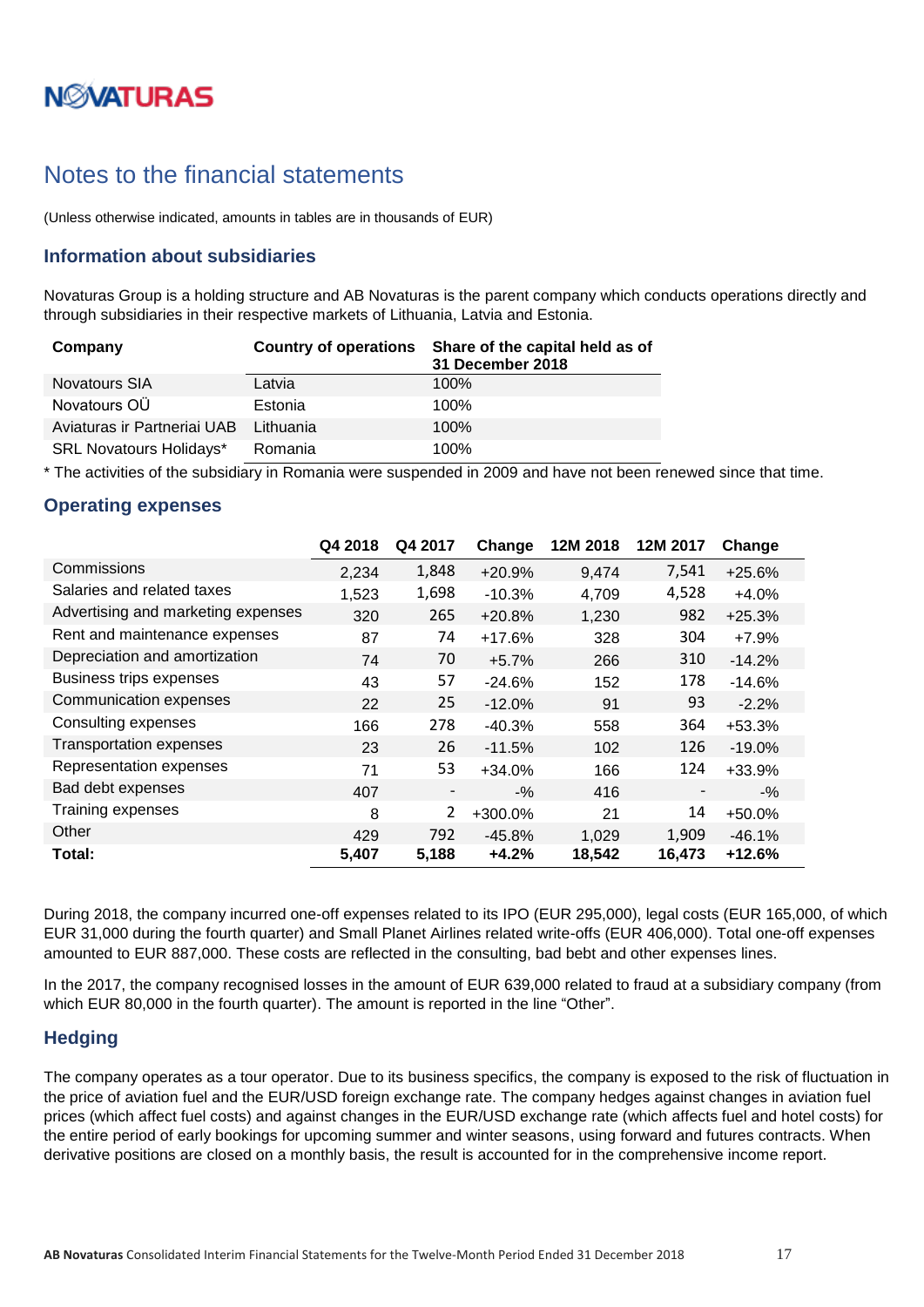# **NØVATURAS**

### <span id="page-16-0"></span>Notes to the financial statements

(Unless otherwise indicated, amounts in tables are in thousands of EUR)

#### <span id="page-16-1"></span>**Information about subsidiaries**

Novaturas Group is a holding structure and AB Novaturas is the parent company which conducts operations directly and through subsidiaries in their respective markets of Lithuania, Latvia and Estonia.

| Company                        | <b>Country of operations</b> | Share of the capital held as of<br>31 December 2018 |
|--------------------------------|------------------------------|-----------------------------------------------------|
| <b>Novatours SIA</b>           | Latvia                       | $100\%$                                             |
| Novatours OÜ                   | Estonia                      | 100%                                                |
| Aviaturas ir Partneriai UAB    | Lithuania                    | 100%                                                |
| <b>SRL Novatours Holidays*</b> | Romania                      | 100%                                                |

\* The activities of the subsidiary in Romania were suspended in 2009 and have not been renewed since that time.

#### <span id="page-16-2"></span>**Operating expenses**

|                                    | Q4 2018 | Q4 2017        | Change   | 12M 2018 | 12M 2017 | Change   |
|------------------------------------|---------|----------------|----------|----------|----------|----------|
| Commissions                        | 2,234   | 1,848          | $+20.9%$ | 9,474    | 7,541    | $+25.6%$ |
| Salaries and related taxes         | 1,523   | 1,698          | $-10.3%$ | 4,709    | 4,528    | $+4.0%$  |
| Advertising and marketing expenses | 320     | 265            | $+20.8%$ | 1,230    | 982      | $+25.3%$ |
| Rent and maintenance expenses      | 87      | 74             | $+17.6%$ | 328      | 304      | $+7.9%$  |
| Depreciation and amortization      | 74      | 70             | $+5.7%$  | 266      | 310      | $-14.2%$ |
| <b>Business trips expenses</b>     | 43      | 57             | $-24.6%$ | 152      | 178      | $-14.6%$ |
| Communication expenses             | 22      | 25             | $-12.0%$ | 91       | 93       | $-2.2\%$ |
| Consulting expenses                | 166     | 278            | $-40.3%$ | 558      | 364      | $+53.3%$ |
| <b>Transportation expenses</b>     | 23      | 26             | $-11.5%$ | 102      | 126      | $-19.0%$ |
| Representation expenses            | 71      | 53             | $+34.0%$ | 166      | 124      | +33.9%   |
| Bad debt expenses                  | 407     | -              | $-$ %    | 416      |          | $-$ %    |
| Training expenses                  | 8       | $\overline{2}$ | +300.0%  | 21       | 14       | $+50.0%$ |
| Other                              | 429     | 792            | $-45.8%$ | 1,029    | 1,909    | $-46.1%$ |
| Total:                             | 5,407   | 5,188          | $+4.2%$  | 18,542   | 16,473   | $+12.6%$ |

During 2018, the company incurred one-off expenses related to its IPO (EUR 295,000), legal costs (EUR 165,000, of which EUR 31,000 during the fourth quarter) and Small Planet Airlines related write-offs (EUR 406,000). Total one-off expenses amounted to EUR 887,000. These costs are reflected in the consulting, bad bebt and other expenses lines.

In the 2017, the company recognised losses in the amount of EUR 639,000 related to fraud at a subsidiary company (from which EUR 80,000 in the fourth quarter). The amount is reported in the line "Other".

#### <span id="page-16-3"></span>**Hedging**

The company operates as a tour operator. Due to its business specifics, the company is exposed to the risk of fluctuation in the price of aviation fuel and the EUR/USD foreign exchange rate. The company hedges against changes in aviation fuel prices (which affect fuel costs) and against changes in the EUR/USD exchange rate (which affects fuel and hotel costs) for the entire period of early bookings for upcoming summer and winter seasons, using forward and futures contracts. When derivative positions are closed on a monthly basis, the result is accounted for in the comprehensive income report.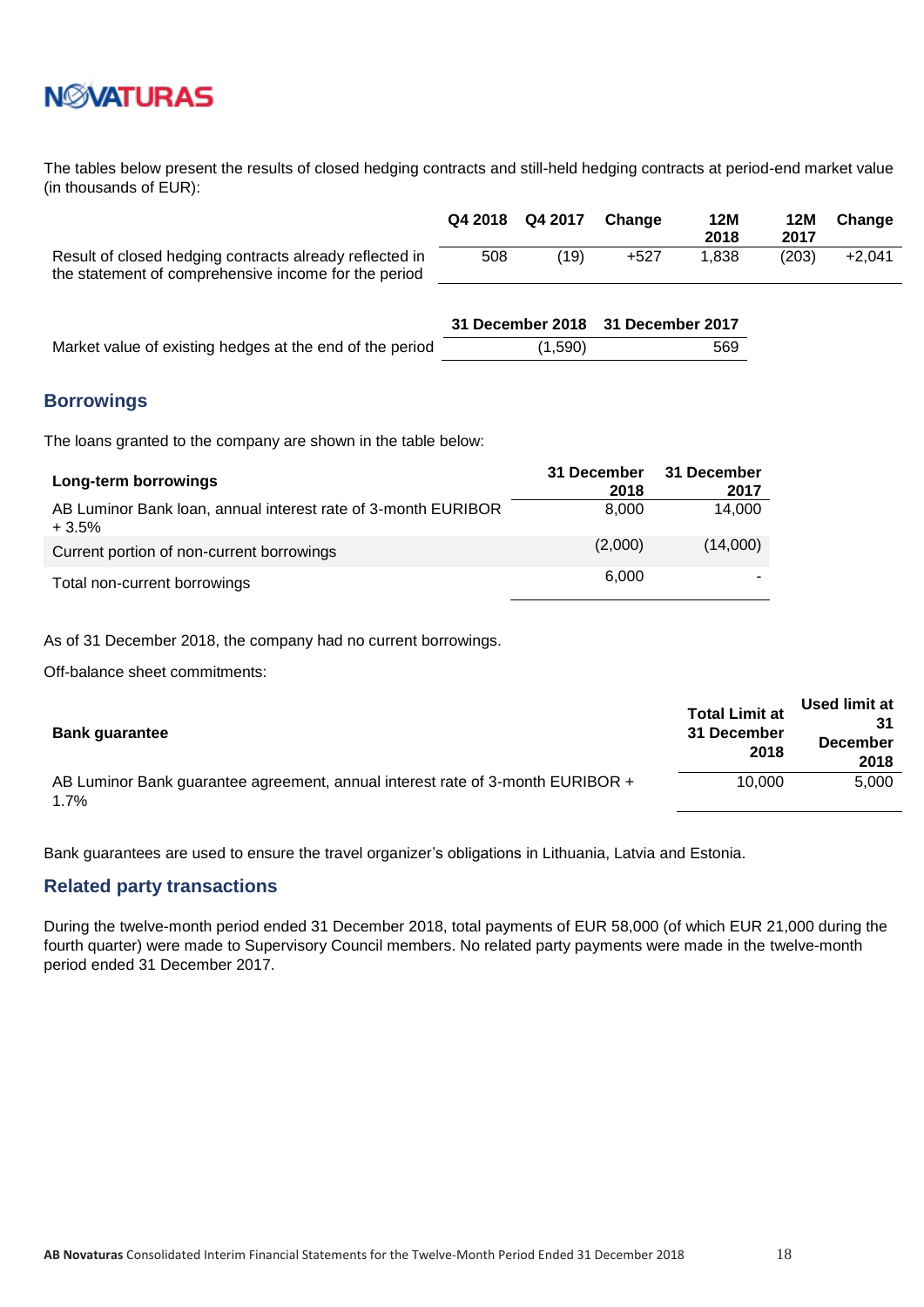

The tables below present the results of closed hedging contracts and still-held hedging contracts at period-end market value (in thousands of EUR):

|                                                         |     | Q4 2018 Q4 2017 Change |      | 12M<br>2018 | 12M<br>2017 | Change   |
|---------------------------------------------------------|-----|------------------------|------|-------------|-------------|----------|
| Result of closed hedging contracts already reflected in | 508 | (19)                   | +527 | 1.838       | (203)       | $+2.041$ |
| the statement of comprehensive income for the period    |     |                        |      |             |             |          |

|                                                          | 31 December 2018 31 December 2017 |     |
|----------------------------------------------------------|-----------------------------------|-----|
| Market value of existing hedges at the end of the period | (1,590)                           | 569 |

#### <span id="page-17-0"></span>**Borrowings**

The loans granted to the company are shown in the table below:

| Long-term borrowings                                                     | 31 December<br>2018 | 31 December<br>2017 |
|--------------------------------------------------------------------------|---------------------|---------------------|
| AB Luminor Bank Ioan, annual interest rate of 3-month EURIBOR<br>$+3.5%$ | 8.000               | 14,000              |
| Current portion of non-current borrowings                                | (2,000)             | (14,000)            |
| Total non-current borrowings                                             | 6.000               |                     |

As of 31 December 2018, the company had no current borrowings.

Off-balance sheet commitments:

| <b>Bank guarantee</b>                                                                  | <b>Total Limit at</b><br>31 December<br>2018 | Used limit at<br><b>December</b><br>2018 |
|----------------------------------------------------------------------------------------|----------------------------------------------|------------------------------------------|
| AB Luminor Bank guarantee agreement, annual interest rate of 3-month EURIBOR +<br>1.7% | 10.000                                       | 5.000                                    |

Bank guarantees are used to ensure the travel organizer's obligations in Lithuania, Latvia and Estonia.

#### <span id="page-17-1"></span>**Related party transactions**

During the twelve-month period ended 31 December 2018, total payments of EUR 58,000 (of which EUR 21,000 during the fourth quarter) were made to Supervisory Council members. No related party payments were made in the twelve-month period ended 31 December 2017.